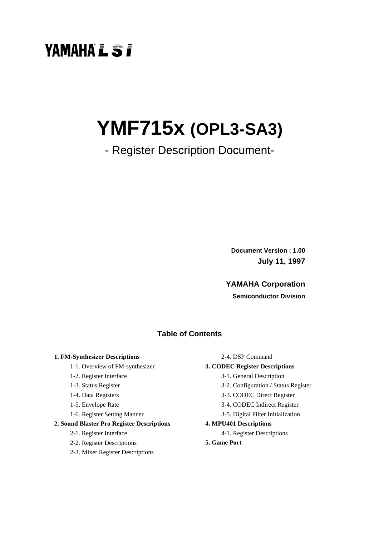# **YAMAHA'L ST**

# **YMF715x (OPL3-SA3)**

## - Register Description Document-

**Document Version : 1.00 July 11, 1997**

#### **YAMAHA Corporation**

**Semiconductor Division**

#### **Table of Contents**

#### **1. FM-Synthesizer Descriptions**

- 1-1. Overview of FM-synthesizer
- 1-2. Register Interface
- 1-3. Status Register
- 1-4. Data Registers
- 1-5. Envelope Rate
- 1-6. Register Setting Manner

#### **2. Sound Blaster Pro Register Descriptions**

- 2-1. Register Interface
- 2-2. Register Descriptions
- 2-3. Mixer Register Descriptions

2-4. DSP Command

#### **3. CODEC Register Descriptions**

- 3-1. General Description
- 3-2. Configuration / Status Register
- 3-3. CODEC Direct Register
- 3-4. CODEC Indirect Register
- 3-5. Digital Filter Initialization

#### **4. MPU401 Descriptions**

- 4-1. Register Descriptions
- **5. Game Port**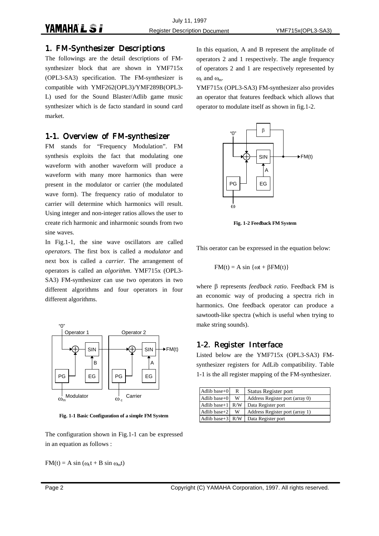#### 1. FM-Synthesizer Descriptions

The followings are the detail descriptions of FMsynthesizer block that are shown in YMF715x (OPL3-SA3) specification. The FM-synthesizer is compatible with YMF262(OPL3)/YMF289B(OPL3- L) used for the Sound Blaster/Adlib game music synthesizer which is de facto standard in sound card market.

#### 1-1. Overview of FM-synthesizer

FM stands for "Frequency Modulation". FM synthesis exploits the fact that modulating one waveform with another waveform will produce a waveform with many more harmonics than were present in the modulator or carrier (the modulated wave form). The frequency ratio of modulator to carrier will determine which harmonics will result. Using integer and non-integer ratios allows the user to create rich harmonic and inharmonic sounds from two sine waves.

In Fig.1-1, the sine wave oscillators are called *operators*. The first box is called a *modulator* and next box is called a *carrier*. The arrangement of operators is called an *algorithm*. YMF715x (OPL3- SA3) FM-synthesizer can use two operators in two different algorithms and four operators in four different algorithms.



**Fig. 1-1 Basic Configuration of a simple FM System**

The configuration shown in Fig.1-1 can be expressed in an equation as follows :

 $FM(t) = A \sin(\omega_c t + B \sin \omega_m t)$ 

In this equation, A and B represent the amplitude of operators 2 and 1 respectively. The angle frequency of operators 2 and 1 are respectively represented by  $\omega_c$  and  $\omega_m$ .

YMF715x (OPL3-SA3) FM-synthesizer also provides an operator that features feedback which allows that operator to modulate itself as shown in fig.1-2.



**Fig. 1-2 Feedback FM System**

This oerator can be expressed in the equation below:

$$
FM(t) = A \sin \{ \omega t + \beta FM(t) \}
$$

where β represents *feedback ratio*. Feedback FM is an economic way of producing a spectra rich in harmonics. One feedback operator can produce a sawtooth-like spectra (which is useful when trying to make string sounds).

#### 1-2. Register Interface

Listed below are the YMF715x (OPL3-SA3) FMsynthesizer registers for AdLib compatibility. Table 1-1 is the all register mapping of the FM-synthesizer.

| Adlib base $+0$          | R   | Status Register port            |
|--------------------------|-----|---------------------------------|
| Adlib base $+0$          | w   | Address Register port (array 0) |
| Adlib base $+1$          | R/W | Data Register port              |
| Adlib base $+2$          | w   | Address Register port (array 1) |
| Adlib base+ $3 \mid R/W$ |     | Data Register port              |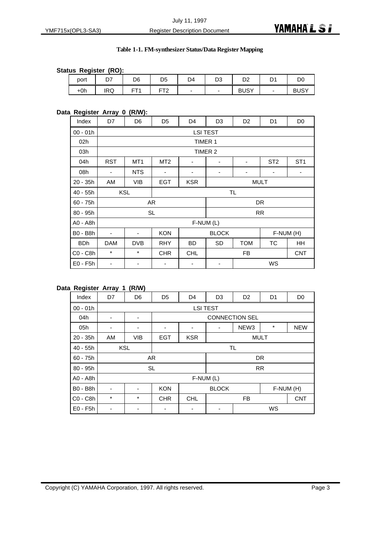#### **Table 1-1. FM-synthesizer Status/Data Register Mapping**

#### **Status Register (RO):**

| . .   |                  |                 |                |    |           |             |         |             |
|-------|------------------|-----------------|----------------|----|-----------|-------------|---------|-------------|
| port  | ~-<br><u>י ט</u> | D6              | D <sub>5</sub> | D4 | n o<br>υs | D2          | n,<br>◡ | DC          |
| $+0h$ | <b>IRQ</b>       | ET <sub>1</sub> | ET?            |    | -         | <b>BUSY</b> | -       | <b>BUSY</b> |

#### **Data Register Array 0 (R/W):**

| Index      | D7         | D <sub>6</sub>  | D <sub>5</sub>  | D <sub>4</sub> | D <sub>3</sub>                          | D <sub>2</sub> | D <sub>1</sub> | D <sub>0</sub> |  |
|------------|------------|-----------------|-----------------|----------------|-----------------------------------------|----------------|----------------|----------------|--|
| $00 - 01h$ |            |                 |                 |                | <b>LSI TEST</b>                         |                |                |                |  |
| 02h        |            |                 |                 | TIMER 1        |                                         |                |                |                |  |
| 03h        |            |                 |                 |                | TIMER 2                                 |                |                |                |  |
| 04h        | RST        | MT <sub>1</sub> | MT <sub>2</sub> | ۰              | ST <sub>2</sub><br>ST <sub>1</sub><br>۰ |                |                |                |  |
| 08h        | ۰          | <b>NTS</b>      | -               |                | ٠<br>۰                                  |                |                |                |  |
| $20 - 35h$ | AM         | <b>VIB</b>      | <b>EGT</b>      | <b>KSR</b>     | <b>MULT</b>                             |                |                |                |  |
| $40 - 55h$ |            | <b>KSL</b>      |                 | <b>TL</b>      |                                         |                |                |                |  |
| $60 - 75h$ |            |                 | AR              |                |                                         | <b>DR</b>      |                |                |  |
| 80 - 95h   |            |                 | <b>SL</b>       |                |                                         |                | <b>RR</b>      |                |  |
| A0 - A8h   |            |                 |                 | $F-NUM(L)$     |                                         |                |                |                |  |
| B0 - B8h   | ٠          |                 | <b>KON</b>      |                | <b>BLOCK</b>                            |                | F-NUM (H)      |                |  |
| <b>BDh</b> | <b>DAM</b> | <b>DVB</b>      | <b>RHY</b>      | <b>BD</b>      | <b>TOM</b><br>ТC<br>SD<br>HH            |                |                |                |  |
| C0 - C8h   | $\star$    | $\star$         | <b>CHR</b>      | <b>CHL</b>     | <b>FB</b><br><b>CNT</b>                 |                |                |                |  |
| $E0 - F5h$ | ۰          |                 |                 |                |                                         |                | WS             |                |  |

#### **Data Register Array 1 (R/W)**

| Index           | D7         | D <sub>6</sub> | D <sub>5</sub> | D <sub>4</sub>        | D <sub>3</sub>                             | D <sub>2</sub><br>D <sub>1</sub><br>D <sub>0</sub> |           |            |  |  |
|-----------------|------------|----------------|----------------|-----------------------|--------------------------------------------|----------------------------------------------------|-----------|------------|--|--|
| $00 - 01h$      |            |                |                | <b>LSI TEST</b>       |                                            |                                                    |           |            |  |  |
| 04h             | ٠          | ۰              |                | <b>CONNECTION SEL</b> |                                            |                                                    |           |            |  |  |
| 05h             |            | ۰              |                | ۰                     | $^\star$<br><b>NEW</b><br>NEW <sub>3</sub> |                                                    |           |            |  |  |
| $20 - 35h$      | AM         | <b>VIB</b>     | <b>EGT</b>     | <b>KSR</b>            | <b>MULT</b>                                |                                                    |           |            |  |  |
| $40 - 55h$      | <b>KSL</b> |                |                | <b>TL</b>             |                                            |                                                    |           |            |  |  |
| $60 - 75h$      |            |                | <b>AR</b>      |                       |                                            |                                                    | <b>DR</b> |            |  |  |
| $80 - 95h$      |            |                | <b>SL</b>      |                       |                                            |                                                    | <b>RR</b> |            |  |  |
| A0 - A8h        |            |                |                | F-NUM (L)             |                                            |                                                    |           |            |  |  |
| <b>B0 - B8h</b> | -          |                | <b>KON</b>     |                       | <b>BLOCK</b><br>F-NUM (H)                  |                                                    |           |            |  |  |
| C0 - C8h        | $^\star$   | $\ast$         | <b>CHR</b>     | <b>CHL</b>            | <b>FB</b>                                  |                                                    |           | <b>CNT</b> |  |  |
| $E0 - F5h$      |            |                |                |                       |                                            |                                                    | WS        |            |  |  |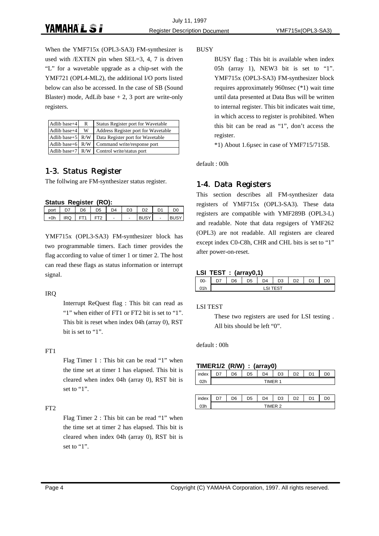When the YMF715x (OPL3-SA3) FM-synthesizer is used with /EXTEN pin when SEL=3, 4, 7 is driven "L" for a wavetable upgrade as a chip-set with the YMF721 (OPL4-ML2), the additional I/O ports listed below can also be accessed. In the case of SB (Sound Blaster) mode, AdLib base  $+ 2$ , 3 port are write-only registers.

| Adlib base+4             | R | Status Register port for Wavetable  |
|--------------------------|---|-------------------------------------|
| Adlib base+4             | w | Address Register port for Wavetable |
| Adlib base+5 $R/W$       |   | Data Register port for Wavetable    |
| Adlib base+ $6 \mid R/W$ |   | Command write/response port         |
| Adlib base $+7$   R/W    |   | Control write/status port           |

### 1-3. Status Register

The follwing are FM-synthesizer status register.

#### **Status Register (RO):**

|      | O(1) |                 |           |          |                |    |    |    |
|------|------|-----------------|-----------|----------|----------------|----|----|----|
| port |      | D <sub>6</sub>  | <b>D5</b> | $\Gamma$ | D <sub>3</sub> | מח | D1 | D0 |
| ⊾∩h  | IRQ  | ET <sub>1</sub> |           |          |                |    | -  |    |

YMF715x (OPL3-SA3) FM-synthesizer block has two programmable timers. Each timer provides the flag according to value of timer 1 or timer 2. The host can read these flags as status information or interrupt signal.

#### IRQ

Interrupt ReQuest flag : This bit can read as "1" when either of FT1 or FT2 bit is set to "1". This bit is reset when index 04h (array 0), RST bit is set to "1".

#### FT1

Flag Timer 1 : This bit can be read "1" when the time set at timer 1 has elapsed. This bit is cleared when index 04h (array 0), RST bit is set to "1".

#### FT2

Flag Timer 2 : This bit can be read "1" when the time set at timer 2 has elapsed. This bit is cleared when index 04h (array 0), RST bit is set to "1".

BUSY

BUSY flag : This bit is available when index 05h (array 1), NEW3 bit is set to "1". YMF715x (OPL3-SA3) FM-synthesizer block requires approximately 960nsec (\*1) wait time until data presented at Data Bus will be written to internal register. This bit indicates wait time, in which access to register is prohibited. When this bit can be read as "1", don't access the register.

\*1) About 1.6µsec in case of YMF715/715B.

default : 00h

### 1-4. Data Registers

This section describes all FM-synthesizer data registers of YMF715x (OPL3-SA3). These data registers are compatible with YMF289B (OPL3-L) and readable. Note that data regsigers of YMF262 (OPL3) are not readable. All registers are cleared except index C0-C8h, CHR and CHL bits is set to "1" after power-on-reset.

#### **LSI TEST : (array0,1)**

|        | . . |    |          |                |    |    |  |
|--------|-----|----|----------|----------------|----|----|--|
| $00 -$ | $-$ | 6כ | $\Gamma$ | D <sub>3</sub> | n. | D1 |  |
| 71h    |     |    |          |                |    |    |  |

#### LSI TEST

These two registers are used for LSI testing . All bits should be left "0".

#### default : 00h

#### **TIMER1/2 (R/W) : (array0)**

| index       | D <sub>7</sub> | D <sub>6</sub> | D5 | D4      | D <sub>3</sub> | D <sub>2</sub> | D <sub>1</sub> |  |
|-------------|----------------|----------------|----|---------|----------------|----------------|----------------|--|
| $\gamma$ 2h |                |                |    | TIMFR 1 |                |                |                |  |
|             |                |                |    |         |                |                |                |  |

|    | . – | ነፍ | ٠ | D <sub>4</sub> | n <sub>0</sub><br>٠, | n <sub>o</sub> | D <sub>1</sub> |  |
|----|-----|----|---|----------------|----------------------|----------------|----------------|--|
| PL |     |    |   |                |                      |                |                |  |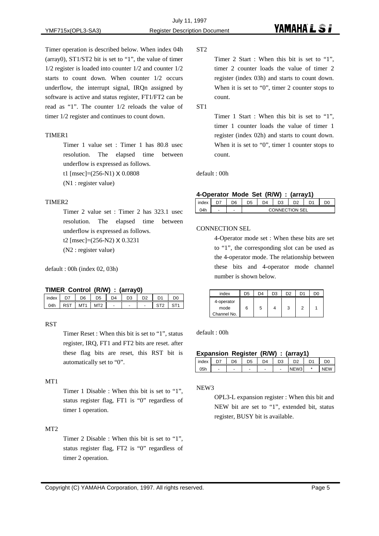Timer operation is described below. When index 04h (array0), ST1/ST2 bit is set to "1", the value of timer 1/2 register is loaded into counter 1/2 and counter 1/2 starts to count down. When counter 1/2 occurs underflow, the interrupt signal, IRQn assigned by software is active and status register, FT1/FT2 can be read as "1". The counter 1/2 reloads the value of timer 1/2 register and continues to count down.

#### TIMER1

Timer 1 value set : Timer 1 has 80.8 usec resolution. The elapsed time between underflow is expressed as follows.

t1 [msec]=(256-N1) X 0.0808

(N1 : register value)

#### TIMER2

Timer 2 value set : Timer 2 has 323.1 usec resolution. The elapsed time between underflow is expressed as follows. t2 [msec]=(256-N2) X 0.3231 (N2 : register value)

default : 00h (index 02, 03h)

#### **TIMER Control (R/W) : (array0)**

|     | D7 | D <sub>6</sub>  | D5  | $\mathsf{D}4$  | D <sub>3</sub>           | D <sub>2</sub> | D <sub>1</sub> | D <sub>(</sub> |
|-----|----|-----------------|-----|----------------|--------------------------|----------------|----------------|----------------|
| 04h |    | MT <sub>1</sub> | MT2 | $\overline{a}$ | $\overline{\phantom{a}}$ | $\overline{a}$ |                |                |

#### **RST**

Timer Reset : When this bit is set to "1", status register, IRQ, FT1 and FT2 bits are reset. after these flag bits are reset, this RST bit is automatically set to "0".

#### MT1

Timer 1 Disable : When this bit is set to "1", status register flag, FT1 is "0" regardless of timer 1 operation.

#### MT2

Timer 2 Disable : When this bit is set to "1", status register flag, FT2 is "0" regardless of timer 2 operation.

ST2

Timer 2 Start : When this bit is set to "1", timer 2 counter loads the value of timer 2 register (index 03h) and starts to count down. When it is set to "0", timer 2 counter stops to count.

ST1

Timer 1 Start : When this bit is set to "1", timer 1 counter loads the value of timer 1 register (index 02h) and starts to count down. When it is set to "0", timer 1 counter stops to count.

default : 00h

#### **4-Operator Mode Set (R/W) : (array1)**

| index |   | חר | D <sub>5</sub> | D4 | D <sub>3</sub> |     | D1 |  |
|-------|---|----|----------------|----|----------------|-----|----|--|
| ገ4h   | - | -  |                |    | CONNECT        | SEI |    |  |

#### CONNECTION SEL

4-Operator mode set : When these bits are set to "1", the corresponding slot can be used as the 4-operator mode. The relationship between these bits and 4-operator mode channel number is shown below.

| index                             | D <sub>5</sub> | D <sub>4</sub> | D3 | D <sub>2</sub> | D1 | D0 |
|-----------------------------------|----------------|----------------|----|----------------|----|----|
| 4-operator<br>mode<br>Channel No. | 6              | 5              |    | 3              | 2  |    |

default : 00h

#### **Expansion Register (R/W) : (array1)**

| index | n, | D6 |   | D4 | n <sub>o</sub><br>13 | n c  | D <sub>1</sub> |              |
|-------|----|----|---|----|----------------------|------|----------------|--------------|
| 05h   |    |    | ۰ |    |                      | JE W |                | $\mathbf{u}$ |

NEW3

OPL3-L expansion register : When this bit and NEW bit are set to "1", extended bit, status register, BUSY bit is available.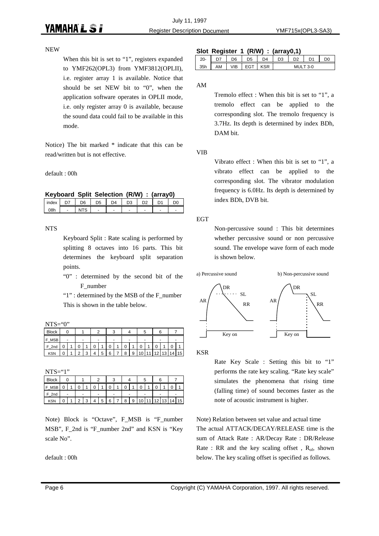#### NEW

When this bit is set to "1", registers expanded to YMF262(OPL3) from YMF3812(OPLII), i.e. register array 1 is available. Notice that should be set NEW bit to "0", when the application software operates in OPLII mode, i.e. only register array 0 is available, because the sound data could fail to be available in this mode.

Notice) The bit marked \* indicate that this can be read/written but is not effective.

default : 00h

**Keyboard Split Selection (R/W) : (array0)**

| index |   | ־6      | D5 | D4 | D <sub>3</sub> | D <sub>2</sub> |   |
|-------|---|---------|----|----|----------------|----------------|---|
|       | - | ت اللا، | -  | -  | -              | -              | - |

NTS

Keyboard Split : Rate scaling is performed by splitting 8 octaves into 16 parts. This bit determines the keyboard split separation points.

"0" : determined by the second bit of the F\_number

"1" : determined by the MSB of the F\_number This is shown in the table below.

 $NTS="0"$ 

| <b>Block</b>    |   |        |                |        |   |   |   |   | ວ | 6  |    |    |    |
|-----------------|---|--------|----------------|--------|---|---|---|---|---|----|----|----|----|
| <b>MSB</b><br>F |   |        |                |        |   |   |   |   |   |    |    |    |    |
| F 2nd           | U | U      |                | r<br>U |   | U | 0 |   | 0 |    |    | U  |    |
| <b>KSN</b>      | С | $\sim$ | $\Omega$<br>o. |        | 5 | 6 | 8 | 9 | C | 12 | 13 | 14 | 15 |

 $NTS="1"$ 

| .               |   |        |        |   |   |        |   |        |    |    |    |
|-----------------|---|--------|--------|---|---|--------|---|--------|----|----|----|
| <b>Block</b>    |   |        |        |   |   |        |   | ບ      | ь  |    |    |
| <b>MSB</b><br>F | U | 0      |        |   |   | n<br>ν |   | n<br>U |    |    |    |
| F 2nd           | - | -      |        |   |   |        |   |        | -  |    |    |
| <b>KSN</b>      |   | $\sim$ | ◠<br>J | 5 | 6 | 8      | 9 | 0      | 12 | 13 | 15 |

Note) Block is "Octave", F\_MSB is "F\_number MSB", F\_2nd is "F\_number 2nd" and KSN is "Key scale No".

default : 00h

#### **Slot Register 1 (R/W) : (array0,1)**

| $20 -$ |    | D6  | D5 | D4 | D3 | מח | D <sub>1</sub> | DC |
|--------|----|-----|----|----|----|----|----------------|----|
| 35h    | AM | VIB |    |    |    | ми | ′?-∩           |    |

AM

Tremolo effect : When this bit is set to "1", a tremolo effect can be applied to the corresponding slot. The tremolo frequency is 3.7Hz. Its depth is determined by index BDh, DAM bit.

VIB

Vibrato effect : When this bit is set to "1", a vibrato effect can be applied to the corresponding slot. The vibrator modulation frequency is 6.0Hz. Its depth is determined by index BDh, DVB bit.

#### EGT

Non-percussive sound : This bit determines whether percussive sound or non percussive sound. The envelope wave form of each mode is shown below.



KSR

Rate Key Scale : Setting this bit to "1" performs the rate key scaling. "Rate key scale" simulates the phenomena that rising time (falling time) of sound becomes faster as the note of acoustic instrument is higher.

Note) Relation between set value and actual time The actual ATTACK/DECAY/RELEASE time is the sum of Attack Rate : AR/Decay Rate : DR/Release Rate : RR and the key scaling offset,  $R_{of}$ , shown below. The key scaling offset is specified as follows.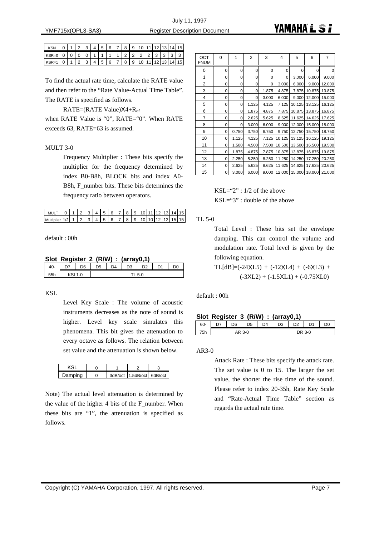| <b>KSN</b>                                                                                                                                                                                            |  |  |  |  |  |  |  | $0$  1 2 3 4 5 6 7 8 9 10 11 12 13 14 15 |
|-------------------------------------------------------------------------------------------------------------------------------------------------------------------------------------------------------|--|--|--|--|--|--|--|------------------------------------------|
| KSR=0   0   0   0   0   1   1   1   1   2   2   2   2   3   3   3   3   3                                                                                                                             |  |  |  |  |  |  |  |                                          |
| $\lfloor$ KSR=1 $\lfloor 0 \rfloor$ 1 $\lfloor 2 \rfloor$ 3 $\lfloor 4 \rfloor$ 5 $\lfloor 6 \rfloor$ 7 $\lfloor 8 \rfloor$ 9 $\lfloor 10 \rfloor$ 11 $\lfloor 12 \rfloor$ 13 $\lfloor 14 \rfloor$ 15 |  |  |  |  |  |  |  |                                          |

To find the actual rate time, calculate the RATE value and then refer to the "Rate Value-Actual Time Table". The RATE is specified as follows.

RATE=(RATE Value) $X4+R_{\text{of}}$ 

when RATE Value is "0", RATE="0". When RATE exceeds 63, RATE=63 is assumed.

#### MULT 3-0

Frequency Multiplier : These bits specify the multiplier for the frequency determined by index B0-B8h, BLOCK bits and index A0- B8h, F\_number bits. These bits determines the frequency ratio between operators.

| MULT 0 1 2 3 4 5 6 7 8 9 10 11 12 13 14 15         |  |  |  |  |  |  |  |  |
|----------------------------------------------------|--|--|--|--|--|--|--|--|
| Multiplier 1/2 1 2 3 4 5 6 7 8 9 10 10 12 12 15 15 |  |  |  |  |  |  |  |  |

default : 00h

#### **Slot Register 2 (R/W) : (array0,1)**

| 40- |          | D <sub>6</sub> | D <sub>5</sub> | $\Gamma$ | D <sub>3</sub> | D <sub>2</sub> | D1 | D <sub>0</sub> |
|-----|----------|----------------|----------------|----------|----------------|----------------|----|----------------|
| 55h | $KSL1-0$ |                |                |          |                | 5.0            |    |                |

KSL

Level Key Scale : The volume of acoustic instruments decreases as the note of sound is higher. Level key scale simulates this phenomena. This bit gives the attenuation to every octave as follows. The relation between set value and the attenuation is shown below.

| )amnina |  | 3dB/oct 1.5dB/oct 6dB/oct |  |
|---------|--|---------------------------|--|

Note) The actual level attenuation is determined by the value of the higher 4 bits of the F\_number. When these bits are "1", the attenuation is specified as follows.

| OCT<br><b>FNUM</b> | 0 | 1     | 2        | 3     | 4      | 5      | 6      | 7      |
|--------------------|---|-------|----------|-------|--------|--------|--------|--------|
| 0                  | 0 | 0     | 0        | 0     | 0      | 0      | 0      | 0      |
| 1                  | 0 | 0     | 0        | 0     | 0      | 3.000  | 6.000  | 9.000  |
| 2                  | 0 | 0     | 0        | 0     | 3.000  | 6.000  | 9.000  | 12.000 |
| 3                  | 0 | 0     | 0        | 1.875 | 4.875  | 7.875  | 10.875 | 13.875 |
| 4                  | 0 | 0     | $\Omega$ | 3.000 | 6.000  | 9.000  | 12.000 | 15.000 |
| 5                  | 0 | 0     | 1.125    | 4.125 | 7.125  | 10.125 | 13.125 | 16.125 |
| 6                  | 0 | 0     | 1.875    | 4.875 | 7.875  | 10.875 | 13.875 | 16.875 |
| $\overline{7}$     | 0 | 0     | 2.625    | 5.625 | 8.625  | 11.625 | 14.625 | 17.625 |
| 8                  | 0 | 0     | 3.000    | 6.000 | 9.000  | 12.000 | 15.000 | 18.000 |
| 9                  | 0 | 0.750 | 3.750    | 6.750 | 9.750  | 12.750 | 15.750 | 18.750 |
| 10                 | 0 | 1.125 | 4.125    | 7.125 | 10.125 | 13.125 | 16.125 | 19.125 |
| 11                 | 0 | 1.500 | 4.500    | 7.500 | 10.500 | 13.500 | 16.500 | 19.500 |
| 12                 | 0 | 1.875 | 4.875    | 7.875 | 10.875 | 13.875 | 16.875 | 19.875 |
| 13                 | 0 | 2.250 | 5.250    | 8.250 | 11.250 | 14.250 | 17.250 | 20.250 |
| 14                 | 0 | 2.625 | 5.625    | 8.625 | 11.625 | 14.625 | 17.625 | 20.625 |
| 15                 | 0 | 3.000 | 6.000    | 9.000 | 12.000 | 15.000 | 18.000 | 21.000 |

KSL="2" : 1/2 of the above KSL="3" : double of the above

TL 5-0

Total Level : These bits set the envelope damping. This can control the volume and modulation rate. Total level is given by the following equation.

 $TL[dB] = (-24XL5) + (-12XL4) + (-6XL3) +$  $(-3XL2) + (-1.5XL1) + (-0.75XL0)$ 

default : 00h

| 60- | n7 | D6 | D <sub>5</sub> | $\mathsf{D}4$ | D3 | מח | $\mathsf{D}$ | 0ר |
|-----|----|----|----------------|---------------|----|----|--------------|----|
| 75h |    |    | AR 3-0         |               |    |    | DR 3-0       |    |

#### AR3-0

Attack Rate : These bits specify the attack rate. The set value is 0 to 15. The larger the set value, the shorter the rise time of the sound. Please refer to index 20-35h, Rate Key Scale and "Rate-Actual Time Table" section as regards the actual rate time.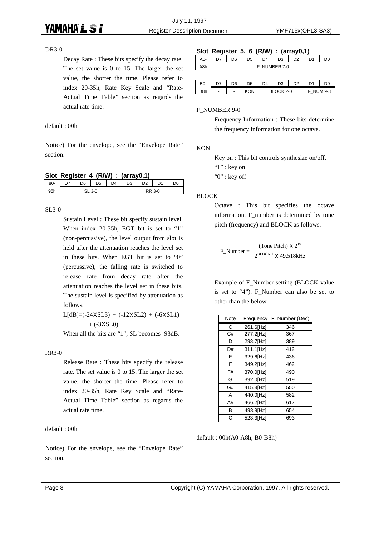#### DR3-0

Decay Rate : These bits specify the decay rate. The set value is 0 to 15. The larger the set value, the shorter the time. Please refer to index 20-35h, Rate Key Scale and "Rate-Actual Time Table" section as regards the actual rate time.

#### default : 00h

Notice) For the envelope, see the "Envelope Rate" section.

|  |  |  |  |  | Slot Register 4 (R/W) : (array0,1) |  |
|--|--|--|--|--|------------------------------------|--|
|--|--|--|--|--|------------------------------------|--|

|      | . . |    |    |    |    |   |  |
|------|-----|----|----|----|----|---|--|
| 80-  |     | ነፍ | )5 | ١Δ | D3 | œ |  |
| $-1$ |     |    |    |    |    |   |  |
|      |     |    |    |    |    |   |  |

#### SL3-0

Sustain Level : These bit specify sustain level. When index 20-35h, EGT bit is set to "1" (non-percussive), the level output from slot is held after the attenuation reaches the level set in these bits. When EGT bit is set to "0" (percussive), the falling rate is switched to release rate from decay rate after the attenuation reaches the level set in these bits. The sustain level is specified by attenuation as follows.

 $L[dB] = (-24XSL3) + (-12XSL2) + (-6XSL1)$  $+$  (-3XSL0)

When all the bits are "1", SL becomes -93dB.

#### RR3-0

Release Rate : These bits specify the release rate. The set value is 0 to 15. The larger the set value, the shorter the time. Please refer to index 20-35h, Rate Key Scale and "Rate-Actual Time Table" section as regards the actual rate time.

default : 00h

Notice) For the envelope, see the "Envelope Rate" section.

#### **Slot Register 5, 6 (R/W) : (array0,1)**

| A <sub>0</sub> - | n7 | D6         | D <sub>5</sub> | D4 | D <sub>3</sub> | מח | D <sub>1</sub> |  |
|------------------|----|------------|----------------|----|----------------|----|----------------|--|
| A8h              |    | NUMBER 7-0 |                |    |                |    |                |  |
|                  |    |            |                |    |                |    |                |  |

| B0-              | כת | D6 | n5 | D4 | D3     | D2 | n, | DC     |
|------------------|----|----|----|----|--------|----|----|--------|
| B <sub>8</sub> h | -  | -  | ωN |    | ^K 2-∩ |    |    | IM 9-8 |

#### F\_NUMBER 9-0

Frequency Information : These bits determine the frequency information for one octave.

#### **KON**

Key on : This bit controls synthesize on/off. "1" : key on "0" : key off

#### BLOCK

Octave : This bit specifies the octave information. F\_number is determined by tone pitch (frequency) and BLOCK as follows.

$$
F_N
$$
Number = 
$$
\frac{\text{(Tone Pitch)} \times 2^{19}}{2^{\text{BLOCK-1}} \times 49.518 \text{kHz}}
$$

Example of F\_Number setting (BLOCK value is set to "4"). F\_Number can also be set to other than the below.

| Note | Frequency | F_Number (Dec) |
|------|-----------|----------------|
| С    | 261.6[Hz] | 346            |
| C#   | 277.2[Hz] | 367            |
| D    | 293.7[Hz] | 389            |
| D#   | 311.1[Hz] | 412            |
| E    | 329.6[Hz] | 436            |
| F    | 349.2[Hz] | 462            |
| F#   | 370.0[Hz] | 490            |
| G    | 392.0[Hz] | 519            |
| G#   | 415.3[Hz] | 550            |
| A    | 440.0[Hz] | 582            |
| A#   | 466.2[Hz] | 617            |
| В    | 493.9[Hz] | 654            |
| C    | 523.3[Hz] | 693            |

default : 00h(A0-A8h, B0-B8h)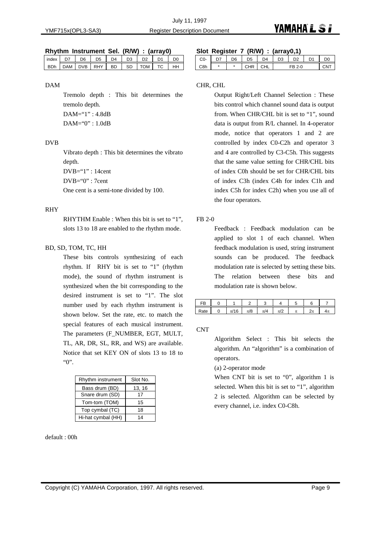#### **Rhythm Instrument Sel. (R/W) : (array0)**

|            | index D7 | D6 | D5 |  |  | $D4$ $D3$ $D2$           | D <sub>1</sub> | m         |
|------------|----------|----|----|--|--|--------------------------|----------------|-----------|
| <b>RDh</b> |          |    |    |  |  | DAM DVB RHY BD SD TOM TC |                | <b>HH</b> |
|            |          |    |    |  |  |                          |                |           |

#### DAM

Tremolo depth : This bit determines the tremolo depth. DAM="1" : 4.8dB DAM="0" : 1.0dB

#### DVB

Vibrato depth : This bit determines the vibrato depth.

DVB="1" : 14cent

 $DVB = "0" : 7cent$ 

One cent is a semi-tone divided by 100.

#### RHY

RHYTHM Enable : When this bit is set to "1", slots 13 to 18 are enabled to the rhythm mode.

#### BD, SD, TOM, TC, HH

These bits controls synthesizing of each rhythm. If RHY bit is set to "1" (rhythm mode), the sound of rhythm instrument is synthesized when the bit corresponding to the desired instrument is set to "1". The slot number used by each rhythm instrument is shown below. Set the rate, etc. to match the special features of each musical instrument. The parameters (F\_NUMBER, EGT, MULT, TL, AR, DR, SL, RR, and WS) are available. Notice that set KEY ON of slots 13 to 18 to "0".

| Rhythm instrument  | Slot No. |
|--------------------|----------|
| Bass drum (BD)     | 13, 16   |
| Snare drum (SD)    | 17       |
| Tom-tom (TOM)      | 15       |
| Top cymbal (TC)    | 18       |
| Hi-hat cymbal (HH) | 14       |

default : 00h

#### **Slot Register 7 (R/W) : (array0,1)**

|     | $-$ |    |         |     |    |     |    |
|-----|-----|----|---------|-----|----|-----|----|
| CO- |     | D6 | ነፍ<br>◡ | 14  | 73 | ነጋ  | DC |
| 28h | ж   | ×  |         | ٦HL |    | 2-∩ |    |

#### CHR, CHL

Output Right/Left Channel Selection : These bits control which channel sound data is output from. When CHR/CHL bit is set to "1", sound data is output from R/L channel. In 4-operator mode, notice that operators 1 and 2 are controlled by index C0-C2h and operator 3 and 4 are controlled by C3-C5h. This suggests that the same value setting for CHR/CHL bits of index C0h should be set for CHR/CHL bits of index C3h (index C4h for index C1h and index C5h for index C2h) when you use all of the four operators.

#### FB 2-0

Feedback : Feedback modulation can be applied to slot 1 of each channel. When feedback modulation is used, string instrument sounds can be produced. The feedback modulation rate is selected by setting these bits. The relation between these bits and modulation rate is shown below.

| FB   |          |        |         |              |                   |   |
|------|----------|--------|---------|--------------|-------------------|---|
| kate | 6<br>,,, | $\sim$ | $1 - T$ | $\pi$<br>142 | <br>ົດ —<br>بالمك | ᠇ |

**CNT** 

Algorithm Select : This bit selects the algorithm. An "algorithm" is a combination of operators.

(a) 2-operator mode

When CNT bit is set to "0", algorithm 1 is selected. When this bit is set to "1", algorithm 2 is selected. Algorithm can be selected by every channel, i.e. index C0-C8h.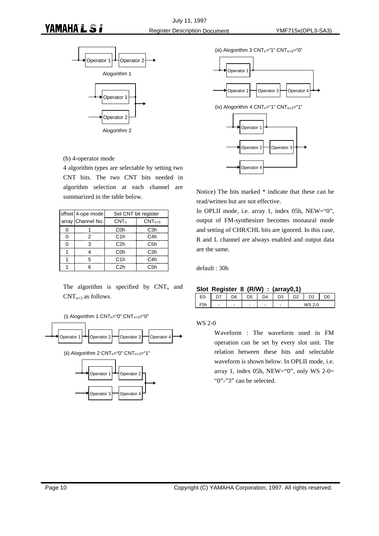

(b) 4-operator mode

4 algorithm types are selectable by setting two CNT bits. The two CNT bits needed in algorithm selection at each channel are summarized in the table below.

|   | offset 4-ope mode | Set CNT bit register |                  |  |
|---|-------------------|----------------------|------------------|--|
|   | array Channel No. | CNT <sub>n</sub>     | $CNTn+3$         |  |
|   |                   | C <sub>0</sub> h     | C <sub>3</sub> h |  |
| ŋ | 2                 | C1h                  | C <sub>4</sub> h |  |
| ŋ | 3                 | C <sub>2</sub> h     | C <sub>5</sub> h |  |
|   |                   | C0h                  | C <sub>3</sub> h |  |
|   | 5                 | C1h                  | C4h              |  |
|   | ิค                | C2h                  | C <sub>5</sub> h |  |

The algorithm is specified by  $CNT_n$  and  $CNT_{n+3}$  as follows.







(iii) Alogorithm 3  $CNT_{n}="$ "  $CNT_{n+3}="0"$ 



Notice) The bits marked \* indicate that these can be read/written but are not effective.

In OPLII mode, i.e. array 1, index 05h, NEW="0", output of FM-synthesizer becomes monaural mode and setting of CHR/CHL bits are ignored. In this case, R and L channel are always enabled and output data are the same.

default : 30h

#### **Slot Register 8 (R/W) : (array0,1)**

| CU- | $\epsilon$ |   |   | $\overline{\phantom{0}}$ | n. |  |
|-----|------------|---|---|--------------------------|----|--|
|     | -          | - | - |                          |    |  |

WS 2-0

Waveform : The waveform used in FM operation can be set by every slot unit. The relation between these bits and selectable waveform is shown below. In OPLII mode, i.e. array 1, index 05h, NEW="0", only WS 2-0= "0"-"3" can be selected.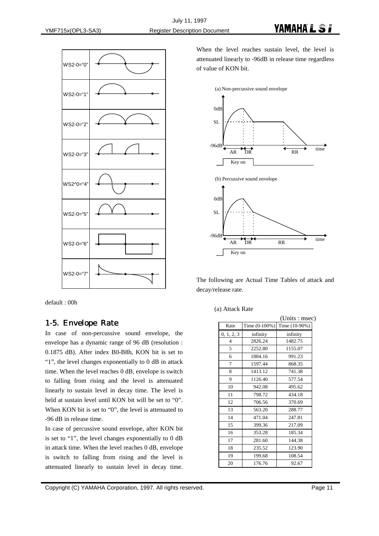

default : 00h

#### 1-5. Envelope Rate

In case of non-percussive sound envelope, the envelope has a dynamic range of 96 dB (resolution : 0.1875 dB). After index B0-B8h, KON bit is set to "1", the level changes exponentially to 0 dB in attack time. When the level reaches 0 dB, envelope is switch to falling from rising and the level is attenuated linearly to sustain level in decay time. The level is held at sustain level until KON bit will be set to "0". When KON bit is set to "0", the level is attenuated to -96 dB in release time.

In case of percussive sound envelope, after KON bit is set to "1", the level changes exponentially to 0 dB in attack time. When the level reaches 0 dB, envelope is switch to falling from rising and the level is attenuated linearly to sustain level in decay time.

When the level reaches sustain level, the level is attenuated linearly to -96dB in release time regardless of value of KON bit.



The following are Actual Time Tables of attack and decay/release rate.

(a) Attack Rate

|            |               | (Units : msec) |
|------------|---------------|----------------|
| Rate       | Time (0-100%) | Time (10-90%)  |
| 0, 1, 2, 3 | infinity      | infinity       |
| 4          | 2826.24       | 1482.75        |
| 5          | 2252.80       | 1155.07        |
| 6          | 1884.16       | 991.23         |
| 7          | 1597.44       | 868.35         |
| 8          | 1413.12       | 741.38         |
| 9          | 1126.40       | 577.54         |
| 10         | 942.08        | 495.62         |
| 11         | 798.72        | 434.18         |
| 12         | 706.56        | 370.69         |
| 13         | 563.20        | 288.77         |
| 14         | 471.04        | 247.81         |
| 15         | 399.36        | 217.09         |
| 16         | 353.28        | 185.34         |
| 17         | 281.60        | 144.38         |
| 18         | 235.52        | 123.90         |
| 19         | 199.68        | 108.54         |
| 20         | 176.76        | 92.67          |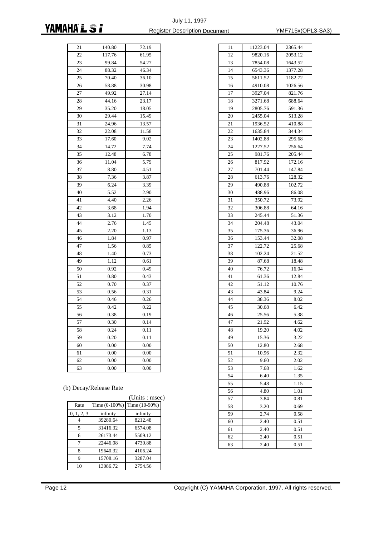#### July 11, 1997 **YAMAHA L S F** Register Description Document TMF715x(OPL3-SA3)

11 11223.04 2365.44 12 9820.16 2053.12

| 21 | 140.80          | 72.19 |  |
|----|-----------------|-------|--|
| 22 | 117.76<br>61.95 |       |  |
| 23 | 99.84           | 54.27 |  |
| 24 | 88.32           | 46.34 |  |
| 25 | 70.40           | 36.10 |  |
| 26 | 58.88           | 30.98 |  |
| 27 | 49.92           | 27.14 |  |
| 28 | 44.16           | 23.17 |  |
| 29 | 35.20           | 18.05 |  |
| 30 | 29.44           | 15.49 |  |
| 31 | 24.96           | 13.57 |  |
| 32 | 22.08           | 11.58 |  |
| 33 | 17.60           | 9.02  |  |
| 34 | 14.72           | 7.74  |  |
| 35 | 12.48           | 6.78  |  |
| 36 | 11.04           | 5.79  |  |
| 37 | 8.80            | 4.51  |  |
| 38 | 7.36            | 3.87  |  |
| 39 | 6.24            | 3.39  |  |
| 40 | 5.52            | 2.90  |  |
| 41 | 4.40            | 2.26  |  |
| 42 | 3.68            | 1.94  |  |
| 43 | 3.12            | 1.70  |  |
| 44 | 2.76            | 1.45  |  |
| 45 | 2.20            | 1.13  |  |
| 46 | 1.84            | 0.97  |  |
| 47 | 1.56            | 0.85  |  |
| 48 | 1.40            | 0.73  |  |
| 49 | 1.12            | 0.61  |  |
| 50 | 0.92            | 0.49  |  |
| 51 | 0.80            | 0.43  |  |
| 52 | 0.70            | 0.37  |  |
| 53 | 0.56            | 0.31  |  |
| 54 | 0.46            | 0.26  |  |
| 55 | 0.42            | 0.22  |  |
| 56 | 0.38            | 0.19  |  |
| 57 | 0.30            | 0.14  |  |
| 58 | 0.24            | 0.11  |  |
| 59 | 0.20            | 0.11  |  |
| 60 | 0.00            | 0.00  |  |
| 61 | 0.00            | 0.00  |  |
| 62 | 0.00            | 0.00  |  |
| 63 | 0.00            | 0.00  |  |

| 13 | 7854.08 | 1643.52 |
|----|---------|---------|
| 14 | 6543.36 | 1377.28 |
| 15 | 5611.52 | 1182.72 |
| 16 | 4910.08 | 1026.56 |
| 17 | 3927.04 | 821.76  |
| 18 | 3271.68 | 688.64  |
| 19 | 2805.76 | 591.36  |
| 20 | 2455.04 | 513.28  |
| 21 | 1936.52 | 410.88  |
| 22 | 1635.84 | 344.34  |
| 23 | 1402.88 | 295.68  |
| 24 | 1227.52 | 256.64  |
| 25 | 981.76  | 205.44  |
| 26 | 817.92  | 172.16  |
| 27 | 701.44  | 147.84  |
| 28 | 613.76  | 128.32  |
| 29 | 490.88  | 102.72  |
| 30 | 488.96  | 86.08   |
| 31 | 350.72  | 73.92   |
| 32 | 306.88  | 64.16   |
| 33 | 245.44  | 51.36   |
| 34 | 204.48  | 43.04   |
| 35 | 175.36  | 36.96   |
| 36 | 153.44  | 32.08   |
| 37 | 122.72  | 25.68   |
| 38 | 102.24  | 21.52   |
| 39 | 87.68   | 18.48   |
| 40 | 76.72   | 16.04   |
| 41 | 61.36   | 12.84   |
| 42 | 51.12   | 10.76   |
| 43 | 43.84   | 9.24    |
| 44 | 38.36   | 8.02    |
| 45 | 30.68   | 6.42    |
| 46 | 25.56   | 5.38    |
| 47 | 21.92   | 4.62    |
| 48 | 19.20   | 4.02    |
| 49 | 15.36   | 3.22    |
| 50 | 12.80   | 2.68    |
| 51 | 10.96   | 2.32    |
| 52 | 9.60    | 2.02    |
| 53 | 7.68    | 1.62    |
| 54 | 6.40    | 1.35    |
| 55 | 5.48    | 1.15    |
| 56 | 4.80    | 1.01    |
| 57 | 3.84    | 0.81    |
|    | 3.20    |         |
| 58 | 2.74    | 0.69    |
| 59 |         | 0.58    |
| 60 | 2.40    | 0.51    |
| 61 | 2.40    | 0.51    |
| 62 | 2.40    | 0.51    |
| 63 | 2.40    | 0.51    |

#### (b) Decay/Release Rate

|            |                  | (Units : msec) |
|------------|------------------|----------------|
| Rate       | Time $(0-100\%)$ | Time (10-90%)  |
| 0, 1, 2, 3 | infinity         | infinity       |
|            | 39280.64         | 8212.48        |
| 5          | 31416.32         | 6574.08        |
| 6          | 26173.44         | 5509.12        |
| 7          | 22446.08         | 4730.88        |
| 8          | 19640.32         | 4106.24        |
| Q          | 15708.16         | 3287.04        |
| 10         | 13086.72         | 2754.56        |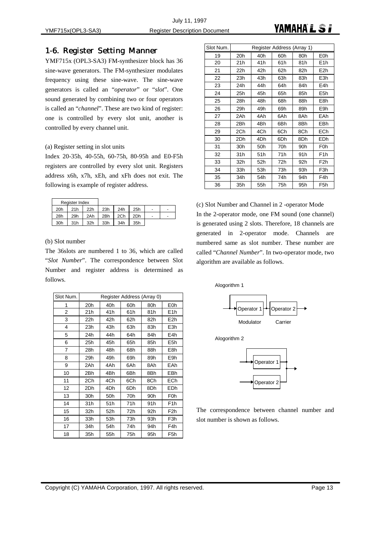#### 1-6. Register Setting Manner

YMF715x (OPL3-SA3) FM-synthesizer block has 36 sine-wave generators. The FM-synthesizer modulates frequency using these sine-wave. The sine-wave generators is called an "*operator*" or "*slot*". One sound generated by combining two or four operators is called an "*channel*". These are two kind of register: one is controlled by every slot unit, another is controlled by every channel unit.

#### (a) Register setting in slot units

Index 20-35h, 40-55h, 60-75h, 80-95h and E0-F5h registers are controlled by every slot unit. Registers address x6h, x7h, xEh, and xFh does not exit. The following is example of register address.

| Register Index |  |
|----------------|--|

| . |     |     |                 |             |     |     |                          |                          |
|---|-----|-----|-----------------|-------------|-----|-----|--------------------------|--------------------------|
|   | 20h | 21h |                 | 22h 23h     | 24h | 25h | $\overline{\phantom{0}}$ |                          |
|   | 28h | 29h |                 | 2Ah 2Bh 2Ch |     | 2Dh | $\overline{\phantom{0}}$ | $\overline{\phantom{0}}$ |
|   | 30h | 31h | 32 <sub>h</sub> | 33h         | 34h | 35h |                          |                          |

#### (b) Slot number

The 36slots are numbered 1 to 36, which are called "*Slot Number*". The correspondence between Slot Number and register address is determined as follows.

| Slot Num.      | Register Address (Array 0) |     |     |                 |                  |
|----------------|----------------------------|-----|-----|-----------------|------------------|
| 1              | 20h                        | 40h | 60h | 80h             | E <sub>0</sub> h |
| $\overline{2}$ | 21h                        | 41h | 61h | 81h             | E <sub>1</sub> h |
| 3              | 22h                        | 42h | 62h | 82h             | E <sub>2</sub> h |
| 4              | 23h                        | 43h | 63h | 83h             | E <sub>3</sub> h |
| 5              | 24h                        | 44h | 64h | 84h             | E4h              |
| 6              | 25h                        | 45h | 65h | 85h             | E <sub>5h</sub>  |
| 7              | 28h                        | 48h | 68h | 88h             | E8h              |
| 8              | 29h                        | 49h | 69h | 89h             | E9h              |
| 9              | 2Ah                        | 4Ah | 6Ah | 8Ah             | EAh              |
| 10             | 2Bh                        | 4Bh | 6Bh | 8Bh             | EBh              |
| 11             | 2Ch                        | 4Ch | 6Ch | 8Ch             | <b>ECh</b>       |
| 12             | 2Dh                        | 4Dh | 6Dh | 8Dh             | EDh              |
| 13             | 30h                        | 50h | 70h | 90h             | F <sub>0</sub> h |
| 14             | 31h                        | 51h | 71h | 91 <sub>h</sub> | F <sub>1</sub> h |
| 15             | 32h                        | 52h | 72h | 92h             | F <sub>2</sub> h |
| 16             | 33h                        | 53h | 73h | 93h             | F3h              |
| 17             | 34h                        | 54h | 74h | 94h             | F <sub>4</sub> h |
| 18             | 35h                        | 55h | 75h | 95h             | F5h              |

| Slot Num. | Register Address (Array 1) |                 |     |     |                  |
|-----------|----------------------------|-----------------|-----|-----|------------------|
| 19        | 20h                        | 40h             | 60h | 80h | E <sub>0</sub> h |
| 20        | 21h                        | 41h             | 61h | 81h | E <sub>1</sub> h |
| 21        | 22h                        | 42h             | 62h | 82h | E <sub>2</sub> h |
| 22        | 23h                        | 43h             | 63h | 83h | E3h              |
| 23        | 24h                        | 44h             | 64h | 84h | E4h              |
| 24        | 25h                        | 45h             | 65h | 85h | E5h              |
| 25        | 28h                        | 48h             | 68h | 88h | E <sub>8</sub> h |
| 26        | 29h                        | 49h             | 69h | 89h | E9h              |
| 27        | 2Ah                        | 4Ah             | 6Ah | 8Ah | EAh              |
| 28        | 2Bh                        | 4Bh             | 6Bh | 8Bh | EBh              |
| 29        | 2Ch                        | 4Ch             | 6Ch | 8Ch | <b>ECh</b>       |
| 30        | 2Dh                        | 4Dh             | 6Dh | 8Dh | EDh              |
| 31        | 30h                        | 50h             | 70h | 90h | F0h              |
| 32        | 31h                        | 51 <sub>h</sub> | 71h | 91h | F <sub>1</sub> h |
| 33        | 32h                        | 52h             | 72h | 92h | F <sub>2</sub> h |
| 34        | 33h                        | 53h             | 73h | 93h | F3h              |
| 35        | 34h                        | 54h             | 74h | 94h | F4h              |
| 36        | 35h                        | 55h             | 75h | 95h | F <sub>5</sub> h |

(c) Slot Number and Channel in 2 -operator Mode In the 2-operator mode, one FM sound (one channel) is generated using 2 slots. Therefore, 18 channels are generated in 2-operator mode. Channels are numbered same as slot number. These number are called "*Channel Number*". In two-operator mode, two algorithm are available as follows.

Alogorithm 1



Alogorithm 2



The correspondence between channel number and slot number is shown as follows.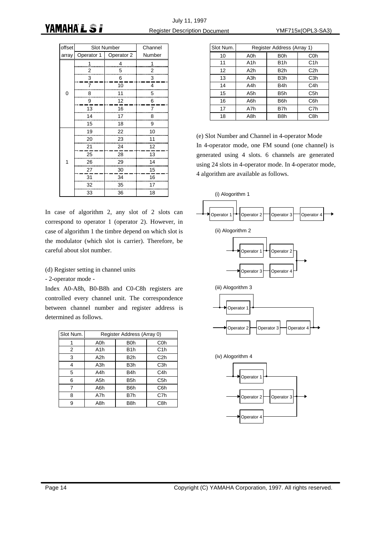| offset | <b>Slot Number</b>       | Channel |        |
|--------|--------------------------|---------|--------|
| array  | Operator 1<br>Operator 2 |         | Number |
|        | 1                        | 4       | 1      |
|        | $\overline{2}$           | 5       | 2      |
|        | 3                        | 6       | 3      |
|        | 7                        | 10      | 4      |
| 0      | 8                        | 11      | 5      |
|        | 9                        | 12      | 6      |
|        | 13                       | 16      | 7      |
|        | 14                       | 17      | 8      |
|        | 15                       | 18      | 9      |
|        | 19                       | 22      | 10     |
|        | 20                       | 23      | 11     |
|        | 21                       | 24      | 12     |
|        | 25                       | 28      | 13     |
| 1      | 26                       | 29      | 14     |
|        | 27                       | 30      | 15     |
|        | 31                       | 34      | 16     |
|        | 32                       | 35      | 17     |
|        | 33                       | 36      | 18     |

In case of algorithm 2, any slot of 2 slots can correspond to operator 1 (operator 2). However, in case of algorithm 1 the timbre depend on which slot is the modulator (which slot is carrier). Therefore, be careful about slot number.

#### (d) Register setting in channel units

#### - 2-operator mode -

Index A0-A8h, B0-B8h and C0-C8h registers are controlled every channel unit. The correspondence between channel number and register address is determined as follows.

| Slot Num. | Register Address (Array 0) |     |                  |  |
|-----------|----------------------------|-----|------------------|--|
|           | A0h                        | B0h | C <sub>0</sub> h |  |
| 2         | A1h                        | B1h | C1h              |  |
| 3         | A2h                        | B2h | C <sub>2</sub> h |  |
| 4         | A3h                        | B3h | C <sub>3</sub> h |  |
| 5         | A4h                        | B4h | C4h              |  |
| 6         | A5h                        | B5h | C <sub>5</sub> h |  |
| 7         | A6h                        | B6h | C <sub>6</sub> h |  |
| 8         | A7h                        | B7h | C7h              |  |
| 9         | A8h                        | B8h | C <sub>8h</sub>  |  |

| Slot Num. | Register Address (Array 1) |     |                  |  |
|-----------|----------------------------|-----|------------------|--|
| 10        | A <sub>O</sub> h           | B0h | C <sub>0</sub> h |  |
| 11        | A <sub>1</sub> h           | B1h | C1h              |  |
| 12        | A2h                        | B2h | C <sub>2</sub> h |  |
| 13        | A3h                        | B3h | C <sub>3</sub> h |  |
| 14        | A4h                        | B4h | C <sub>4</sub> h |  |
| 15        | A5h                        | B5h | C <sub>5</sub> h |  |
| 16        | A6h                        | B6h | C6h              |  |
| 17        | A7h                        | B7h | C7h              |  |
| 18        | A8h                        | B8h | C8h              |  |

(e) Slot Number and Channel in 4-operator Mode In 4-operator mode, one FM sound (one channel) is generated using 4 slots. 6 channels are generated using 24 slots in 4-operator mode. In 4-operator mode, 4 algorithm are available as follows.

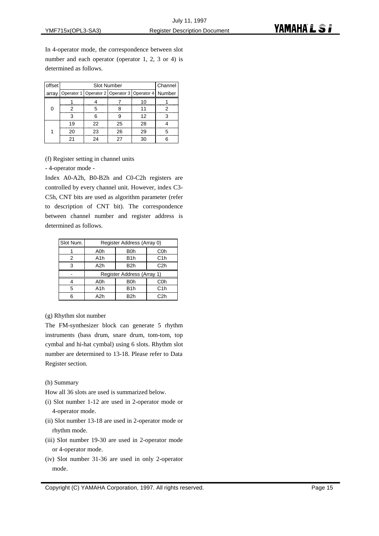In 4-operator mode, the correspondence between slot number and each operator (operator 1, 2, 3 or 4) is determined as follows.

| offset |                                                            | <b>Slot Number</b> |    |    |   |  |  |
|--------|------------------------------------------------------------|--------------------|----|----|---|--|--|
| array  | Operator 1   Operator 2   Operator 3   Operator 4   Number |                    |    |    |   |  |  |
|        |                                                            |                    |    | 10 |   |  |  |
| 0      |                                                            |                    |    | 11 |   |  |  |
|        | з                                                          | 6                  | g  | 12 |   |  |  |
|        | 19                                                         | 22                 | 25 | 28 |   |  |  |
|        | 20                                                         | 23                 | 26 | 29 | 5 |  |  |
|        |                                                            | 24                 | 27 | 30 |   |  |  |

(f) Register setting in channel units

- 4-operator mode -

Index A0-A2h, B0-B2h and C0-C2h registers are controlled by every channel unit. However, index C3- C5h, CNT bits are used as algorithm parameter (refer to description of CNT bit). The correspondence between channel number and register address is determined as follows.

| Slot Num. | Register Address (Array 0) |                  |                  |  |
|-----------|----------------------------|------------------|------------------|--|
|           | A0h                        | B <sub>0</sub> h | C <sub>0</sub> h |  |
| 2         | A <sub>1</sub> h           | B <sub>1</sub> h | C1h              |  |
| 3         | A2h                        | B <sub>2</sub> h | C <sub>2</sub> h |  |
|           | Register Address (Array 1) |                  |                  |  |
|           | A0h                        | B <sub>0</sub> h | C <sub>0</sub> h |  |
| 5         | A <sub>1</sub> h           | B <sub>1</sub> h | C1h              |  |
| հ         | A2h                        | B2h              | C <sub>2</sub> h |  |

#### (g) Rhythm slot number

The FM-synthesizer block can generate 5 rhythm instruments (bass drum, snare drum, tom-tom, top cymbal and hi-hat cymbal) using 6 slots. Rhythm slot number are determined to 13-18. Please refer to Data Register section.

#### (h) Summary

How all 36 slots are used is summarized below.

- (i) Slot number 1-12 are used in 2-operator mode or 4-operator mode.
- (ii) Slot number 13-18 are used in 2-operator mode or rhythm mode.
- (iii) Slot number 19-30 are used in 2-operator mode or 4-operator mode.
- (iv) Slot number 31-36 are used in only 2-operator mode.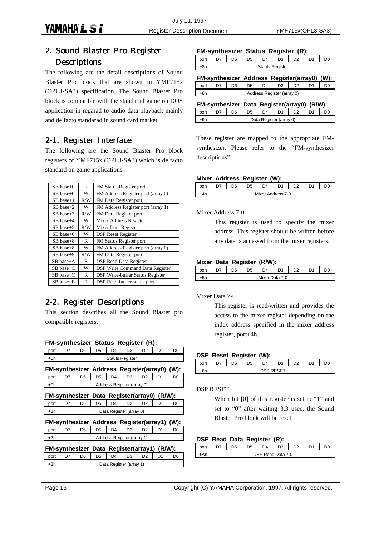## 2. Sound Blaster Pro Register **Descriptions**

The following are the detail descriptions of Sound Blaster Pro block that are shown in YMF715x (OPL3-SA3) specification. The Sound Blaster Pro block is compatible with the standarad game on DOS application in regarad to audio data playback mainly and de facto standarad in sound card market.

## 2-1. Register Interface

The following are the Sound Blaster Pro block registers of YMF715x (OPL3-SA3) which is de facto standard on game applications.

| $SB$ base+0    | R   | FM Status Register port                 |
|----------------|-----|-----------------------------------------|
| SB base+0      | W   | FM Address Register port (array 0)      |
| $SB$ base+1    | R/W | FM Data Register port                   |
| $SB$ base+2    | W   | FM Address Register port (array 1)      |
| $SB$ base+3    | R/W | FM Data Register port                   |
| $SB$ base+4    | W   | Mixer Address Register                  |
| $SB$ base+5    | R/W | Mixer Data Register                     |
| $SB$ base+6    | W   | <b>DSP Reset Register</b>               |
| $SB$ base+8    | R   | FM Status Register port                 |
| $SB$ base+8    | W   | FM Address Register port (array 0)      |
| $SB$ base+9    | R/W | FM Data Register port                   |
| $SB$ base+ $A$ | R   | <b>DSP Read Data Register</b>           |
| $SB$ base+ $C$ | W   | <b>DSP Write Command Data Register</b>  |
| $SB$ base+ $C$ | R   | <b>DSP Write-buffer Status Register</b> |
| SB base+E      | R   | DSP Read-buffer status port             |

## 2-2. Register Descriptions

This section describes all the Sound Blaster pro compatible registers.

|       |                                             |                            |                |                | FM-synthesizer Status Register (R):          |                |                |                |  |  |
|-------|---------------------------------------------|----------------------------|----------------|----------------|----------------------------------------------|----------------|----------------|----------------|--|--|
| port  | D7                                          | D6                         | D <sub>5</sub> | $\mathsf{D}4$  | D <sub>3</sub>                               | D <sub>2</sub> | D <sub>1</sub> | D <sub>0</sub> |  |  |
| +0h   |                                             |                            |                |                | <b>Stauts Register</b>                       |                |                |                |  |  |
|       |                                             |                            |                |                | FM-synthesizer Address Register(array0) (W): |                |                |                |  |  |
| port  | D7                                          | D <sub>6</sub>             | D <sub>5</sub> | D <sub>4</sub> | D <sub>3</sub>                               | D <sub>2</sub> | D <sub>1</sub> | D <sub>0</sub> |  |  |
| $+0h$ |                                             | Address Register (array 0) |                |                |                                              |                |                |                |  |  |
|       |                                             |                            |                |                | FM-synthesizer Data Register(array0) (R/W):  |                |                |                |  |  |
| port  | D7                                          | D6                         | D5             | D4             | D3                                           | D <sub>2</sub> | D1             | D0             |  |  |
| +1h   |                                             |                            |                |                | Data Register (array 0)                      |                |                |                |  |  |
|       |                                             |                            |                |                | FM-synthesizer Address Register(array1) (W): |                |                |                |  |  |
| port  | D7                                          | D <sub>6</sub>             | D <sub>5</sub> | D <sub>4</sub> | D3                                           | D <sub>2</sub> | D <sub>1</sub> | D <sub>0</sub> |  |  |
| $+2h$ | Address Register (array 1)                  |                            |                |                |                                              |                |                |                |  |  |
|       | FM-synthesizer Data Register(array1) (R/W): |                            |                |                |                                              |                |                |                |  |  |
| port  | D7                                          | D <sub>6</sub>             | D <sub>5</sub> | $\mathsf{D}4$  | D <sub>3</sub>                               | D <sub>2</sub> | D <sub>1</sub> | D <sub>0</sub> |  |  |
| $+3h$ |                                             |                            |                |                | Data Register (array 1)                      |                |                |                |  |  |

#### **FM-synthesizer Status Register (R):**

|  |  | <b>Stauts Register</b> |  |  |
|--|--|------------------------|--|--|

| FM-synthesizer Address Register(array0) (W):<br>D7<br>port<br>+8h |                            |                |                |  |           |  |  |  |
|-------------------------------------------------------------------|----------------------------|----------------|----------------|--|-----------|--|--|--|
|                                                                   | D <sub>6</sub>             | D <sub>5</sub> | D <sub>4</sub> |  | $D3$ $D2$ |  |  |  |
|                                                                   | Address Register (array 0) |                |                |  |           |  |  |  |
|                                                                   |                            |                |                |  |           |  |  |  |

|      |                         |    |    |  | FM-synthesizer Data Register(array0) (R/W): |                     |  |  |  |
|------|-------------------------|----|----|--|---------------------------------------------|---------------------|--|--|--|
| port |                         | D6 | D5 |  |                                             | $D4$ $D3$ $D2$ $D4$ |  |  |  |
| +9h  | Data Register (array 0) |    |    |  |                                             |                     |  |  |  |

These register are mapped to the appropriate FMsynthesizer. Please refer to the "FM-synthesizer descriptions".

#### **Mixer Address Register (W):**

|  |  | Mixer Address 7-0 |  |  |
|--|--|-------------------|--|--|
|  |  |                   |  |  |

Mixer Address 7-0

This register is used to specify the mixer address. This register should be written before any data is accessed from the mixer registers.

#### **Mixer Data Register (R/W):**

|   | nr | D <sub>5</sub> | D4    | D <sub>3</sub> |  |  |
|---|----|----------------|-------|----------------|--|--|
| - |    |                | Mixer | Data 7-0       |  |  |

#### Mixer Data 7-0

This register is read/written and provides the access to the mixer register depending on the index address specified in the mixer address register, port+4h.

#### **DSP Reset Register (W):**

| $-1$<br>υıι | ŕ | יי | n., | ັ          | $\sim$ |  |
|-------------|---|----|-----|------------|--------|--|
| $\sim$      |   |    |     | <b>CET</b> |        |  |

#### DSP RESET

When bit [0] of this register is set to "1" and set to "0" after waiting 3.3 usec, the Sound Blaster Pro block will be reset.

#### **DSP Read Data Register (R):**

|  | D <sub>6</sub> | D5 | nд                | n, |  |  |
|--|----------------|----|-------------------|----|--|--|
|  |                |    | DSP Read Data 7-0 |    |  |  |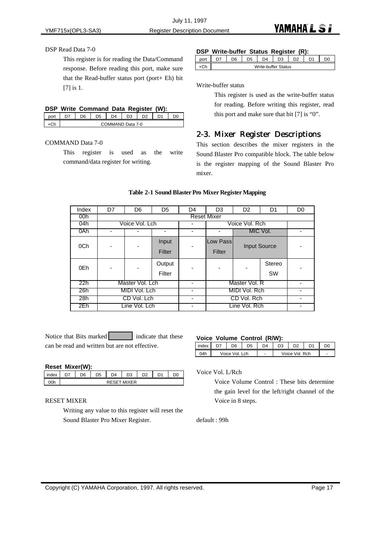#### DSP Read Data 7-0

This register is for reading the Data/Command response. Before reading this port, make sure that the Read-buffer status port (port+ Eh) bit [7] is 1.

| DSP Write Command Data Register (W):         |  |  |  |  |
|----------------------------------------------|--|--|--|--|
| port   D7   D6   D5   D4   D3   D2   D1   D0 |  |  |  |  |

| ט ש | . | ◡ | ◡ | $\cdots$ | ◡    | ◡     | . . | . |
|-----|---|---|---|----------|------|-------|-----|---|
|     |   |   |   | ND.      | Data | $7-0$ |     |   |
|     |   |   |   |          |      |       |     |   |

#### COMMAND Data 7-0

This register is used as the write command/data register for writing.

#### **DSP Write-buffer Status Register (R):**

|        | nr | ነዳ | 14                         | Ğ | no. | n, |  |
|--------|----|----|----------------------------|---|-----|----|--|
| $\sim$ |    |    | <b>Write-buffer Status</b> |   |     |    |  |

Write-buffer status

This register is used as the write-buffer status for reading. Before writing this register, read this port and make sure that bit [7] is "0".

#### 2-3. Mixer Register Descriptions

This section describes the mixer registers in the Sound Blaster Pro compatible block. The table below is the register mapping of the Sound Blaster Pro mixer.

#### **Table 2-1 Sound Blaster Pro Mixer Register Mapping**

| Index | D7                       | D <sub>6</sub>  | D <sub>5</sub>   | D <sub>4</sub>     | D <sub>3</sub>     | D <sub>2</sub> | D <sub>1</sub>      | D <sub>0</sub> |  |
|-------|--------------------------|-----------------|------------------|--------------------|--------------------|----------------|---------------------|----------------|--|
| 00h   |                          |                 |                  | <b>Reset Mixer</b> |                    |                |                     |                |  |
| 04h   |                          | Voice Vol. Lch  |                  | -                  |                    | Voice Vol. Rch |                     |                |  |
| 0Ah   | -                        |                 |                  | ۰                  |                    |                | MIC Vol.            | ٠              |  |
| 0Ch   | $\overline{\phantom{0}}$ |                 | Input<br>Filter  |                    | Low Pass<br>Filter |                | <b>Input Source</b> |                |  |
| 0Eh   | $\overline{a}$           |                 | Output<br>Filter |                    |                    |                | Stereo<br><b>SW</b> |                |  |
| 22h   |                          | Master Vol. Lch |                  | ۰                  |                    | Master Vol. R  |                     |                |  |
| 26h   | MIDI Vol. Lch            |                 |                  | ۰                  |                    | MIDI Vol. Rch  |                     | ٠              |  |
| 28h   | CD Vol. Lch              |                 |                  | ۰                  |                    | CD Vol. Rch    |                     |                |  |
| 2Eh   |                          | Line Vol. Lch   |                  | -                  | Line Vol. Rch      |                |                     |                |  |

Notice that Bits marked indicate that these can be read and written but are not effective.

#### **Reset Mixer(W):**

|     | חר                |  |  |  |  |  |  |  |  |
|-----|-------------------|--|--|--|--|--|--|--|--|
| `0h | <b>MIXER</b><br>M |  |  |  |  |  |  |  |  |

#### RESET MIXER

Writing any value to this register will reset the Sound Blaster Pro Mixer Register.

#### **Voice Volume Control (R/W):**

| index | D6             | D4 | DЗ | D2             | D <sub>1</sub> |   |
|-------|----------------|----|----|----------------|----------------|---|
| ን4h   | Voice Vol. Lch |    |    | Voice Vol. Rch |                | - |

Voice Vol. L/Rch

Voice Volume Control : These bits determine the gain level for the left/right channel of the Voice in 8 steps.

default : 99h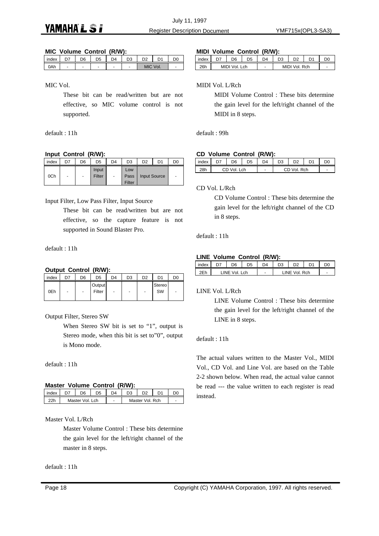July 11, 1997 **YAMAHAL SI** Register Description Document YMF715x(OPL3-SA3)

#### **MIC Volume Control (R/W):**

| index |   | -6 | D5 | D4 |     |      |  |
|-------|---|----|----|----|-----|------|--|
| 0Ah   | - | ٠  | -  | -  | MIC | Vol. |  |

MIC Vol.

These bit can be read/written but are not effective, so MIC volume control is not supported.

default : 11h

#### **Input Control (R/W):**

| index | D7 | D6                       | D <sub>5</sub>  | D <sub>4</sub>           | D <sub>3</sub>        | D <sub>2</sub>      | D1 | D <sub>0</sub> |
|-------|----|--------------------------|-----------------|--------------------------|-----------------------|---------------------|----|----------------|
| 0Ch   | -  | $\overline{\phantom{a}}$ | Input<br>Filter | $\overline{\phantom{a}}$ | Low<br>Pass<br>Filter | <b>Input Source</b> |    | ٠              |

Input Filter, Low Pass Filter, Input Source

These bit can be read/written but are not effective, so the capture feature is not supported in Sound Blaster Pro.

default : 11h

#### **Output Control (R/W):**

| index | D7                       | D6                       | D <sub>5</sub>   | D <sub>4</sub> | D <sub>3</sub>           | D <sub>2</sub>           | D1           | D <sub>0</sub>           |
|-------|--------------------------|--------------------------|------------------|----------------|--------------------------|--------------------------|--------------|--------------------------|
| 0Eh   | $\overline{\phantom{a}}$ | $\overline{\phantom{a}}$ | Output<br>Filter | -              | $\overline{\phantom{a}}$ | $\overline{\phantom{a}}$ | Stereo<br>SW | $\overline{\phantom{a}}$ |

Output Filter, Stereo SW

When Stereo SW bit is set to "1", output is Stereo mode, when this bit is set to"0", output is Mono mode.

default : 11h

#### **Master Volume Control (R/W):**

| index | הר              | <b>DA</b> |                 | ነበ |
|-------|-----------------|-----------|-----------------|----|
| つつト   | Master Vol. Lch |           | Master Vol. Rch | -  |

Master Vol. L/Rch

Master Volume Control : These bits determine the gain level for the left/right channel of the master in 8 steps.

default : 11h

#### **MIDI Volume Control (R/W):**

| index | ∩ר            | D5 | ⊿ר |               | D1 |   |
|-------|---------------|----|----|---------------|----|---|
| 26h   | MIDI Vol. Lch |    |    | MIDI Vol. Rch |    | - |

#### MIDI Vol. L/Rch

MIDI Volume Control : These bits determine the gain level for the left/right channel of the MIDI in 8 steps.

default : 99h

#### **CD Volume Control (R/W):**

| index | D6   | D <sub>5</sub> | $\Gamma$ | D3 | מח         | D <sub>1</sub> |  |
|-------|------|----------------|----------|----|------------|----------------|--|
| 28h   | ا∩/\ | Lch            | -        |    | $V \cap I$ | Rch            |  |

CD Vol. L/Rch

CD Volume Control : These bits determine the gain level for the left/right channel of the CD in 8 steps.

default : 11h

#### **LINE Volume Control (R/W):**

| index | D6           | D4 |               |  |
|-------|--------------|----|---------------|--|
| つにん   | INE Vol. Lch |    | INE Vol. Rch_ |  |

LINE Vol. L/Rch

LINE Volume Control : These bits determine the gain level for the left/right channel of the LINE in 8 steps.

#### default : 11h

The actual values written to the Master Vol., MIDI Vol., CD Vol. and Line Vol. are based on the Table 2-2 shown below. When read, the actual value cannot be read --- the value written to each register is read instead.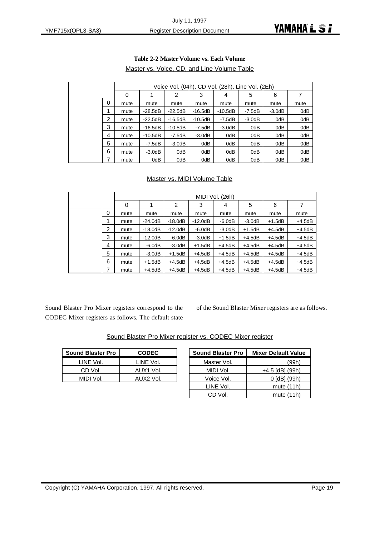|   | Voice Vol. (04h), CD Vol. (28h), Line Vol. (2Eh) |           |           |           |          |          |          |      |  |  |
|---|--------------------------------------------------|-----------|-----------|-----------|----------|----------|----------|------|--|--|
|   | 0                                                |           | 2         | 3         | 4        | 5        | 6        | 7    |  |  |
| 0 | mute                                             | mute      | mute      | mute      | mute     | mute     | mute     | mute |  |  |
|   | mute                                             | $-28.5dB$ | $-22.5dB$ | $-16.5dB$ | -10.5dB  | -7.5dB   | $-3.0dB$ | 0dB  |  |  |
| 2 | mute                                             | $-22.5dB$ | $-16.5dB$ | $-10.5dB$ | $-7.5dB$ | $-3.0dB$ | 0dB      | 0dB  |  |  |
| 3 | mute                                             | $-16.5dB$ | $-10.5dB$ | $-7.5dB$  | $-3.0dB$ | 0dB      | 0dB      | 0dB  |  |  |
| 4 | mute                                             | $-10.5dB$ | -7.5dB    | $-3.0dB$  | 0dB      | 0dB      | 0dB      | 0dB  |  |  |
| 5 | mute                                             | $-7.5dB$  | $-3.0dB$  | 0dB       | 0dB      | 0dB      | 0dB      | 0dB  |  |  |
| 6 | mute                                             | $-3.0dB$  | 0dB       | 0dB       | 0dB      | 0dB      | 0dB      | 0dB  |  |  |
| 7 | mute                                             | 0dB       | 0dB       | 0dB       | 0dB      | 0dB      | 0dB      | 0dB  |  |  |

#### **Table 2-2 Master Volume vs. Each Volume** Master vs. Voice, CD, and Line Volume Table

#### Master vs. MIDI Volume Table

|   |      |           |           |           | MIDI Vol. (26h) |          |          |          |
|---|------|-----------|-----------|-----------|-----------------|----------|----------|----------|
|   | 0    |           | 2         | 3         | 4               | 5        | 6        | 7        |
| 0 | mute | mute      | mute      | mute      | mute            | mute     | mute     | mute     |
|   | mute | $-24.0dB$ | $-18.0dB$ | $-12.0dB$ | $-6.0dB$        | $-3.0dB$ | $+1.5dB$ | $+4.5dB$ |
| 2 | mute | $-18.0dB$ | $-12.0dB$ | $-6.0dB$  | $-3.0dB$        | $+1.5dB$ | $+4.5dB$ | $+4.5dB$ |
| 3 | mute | $-12.0dB$ | $-6.0dB$  | $-3.0dB$  | $+1.5dB$        | $+4.5dB$ | $+4.5dB$ | $+4.5dB$ |
| 4 | mute | $-6.0dB$  | $-3.0dB$  | $+1.5dB$  | $+4.5dB$        | $+4.5dB$ | $+4.5dB$ | $+4.5dB$ |
| 5 | mute | $-3.0dB$  | $+1.5dB$  | $+4.5dB$  | $+4.5dB$        | $+4.5dB$ | $+4.5dB$ | $+4.5dB$ |
| 6 | mute | $+1.5dB$  | $+4.5dB$  | $+4.5dB$  | $+4.5dB$        | $+4.5dB$ | $+4.5dB$ | $+4.5dB$ |
| 7 | mute | $+4.5dB$  | $+4.5dB$  | $+4.5dB$  | $+4.5dB$        | $+4.5dB$ | $+4.5dB$ | $+4.5dB$ |

Sound Blaster Pro Mixer registers correspond to the CODEC Mixer registers as follows. The default state

of the Sound Blaster Mixer registers are as follows.

| <b>Sound Blaster Pro</b> | <b>CODEC</b> |  |
|--------------------------|--------------|--|
| LINE Vol.                | LINE Vol.    |  |
| CD Vol.                  | AUX1 Vol.    |  |

MIDI Vol. AUX2 Vol.

|  |  |  | Sound Blaster Pro Mixer register vs. CODEC Mixer register |
|--|--|--|-----------------------------------------------------------|
|--|--|--|-----------------------------------------------------------|

| <b>Sound Blaster Pro</b> | <b>Mixer Default Value</b> |
|--------------------------|----------------------------|
| Master Vol.              | (99h)                      |
| MIDI Vol.                | +4.5 [dB] (99h)            |
| Voice Vol.               | 0 [dB] (99h)               |
| LINE Vol.                | mute (11h)                 |
| CD Vol.                  | mute (11h)                 |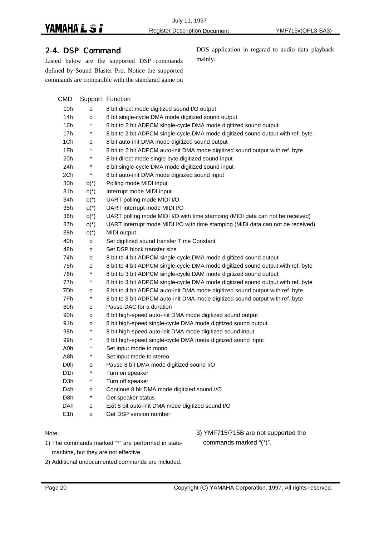#### 2-4. DSP Command

Listed below are the supported DSP commands defined by Sound Blaster Pro. Notice the supported commands are compatible with the standarad game on

DOS application in regarad to audio data playback mainly.

| CMD              |                         | Support Function                                                                 |
|------------------|-------------------------|----------------------------------------------------------------------------------|
| 10h              | o                       | 8 bit direct mode digitized sound I/O output                                     |
| 14h              | o                       | 8 bit single-cycle DMA mode digitized sound output                               |
| 16h              | $^{\ast}$               | 8 bit to 2 bit ADPCM single-cycle DMA mode digitized sound output                |
| 17h              | $\star$                 | 8 bit to 2 bit ADPCM single-cycle DMA mode digitized sound output with ref. byte |
| 1Ch              | o                       | 8 bit auto-init DMA mode digitized sound output                                  |
| 1Fh              | $\star$                 | 8 bit to 2 bit ADPCM auto-init DMA mode digitized sound output with ref. byte    |
| 20h              | $\ast$                  | 8 bit direct mode single byte digitized sound input                              |
| 24h              | $\ast$                  | 8 bit single-cycle DMA mode digitized sound input                                |
| 2Ch              | $\star$                 | 8 bit auto-init DMA mode digitized sound input                                   |
| 30h              | $O(*)$                  | Polling mode MIDI input                                                          |
| 31h              | $O*$                    | Interrupt mode MIDI input                                                        |
| 34h              | $O(*)$                  | UART polling mode MIDI I/O                                                       |
| 35h              | $O*$                    | UART interrupt mode MIDI I/O                                                     |
| 36h              | $O(*)$                  | UART polling mode MIDI I/O with time stamping (MIDI data can not be received)    |
| 37h              | $O*$                    | UART interrupt mode MIDI I/O with time stamping (MIDI data can not be received)  |
| 38h              | $O*$                    | MIDI output                                                                      |
| 40h              | o                       | Set digitized sound transfer Time Constant                                       |
| 48h              | o                       | Set DSP block transfer size                                                      |
| 74h              | o                       | 8 bit to 4 bit ADPCM single-cycle DMA mode digitized sound output                |
| 75h              | o                       | 8 bit to 4 bit ADPCM single-cycle DMA mode digitized sound output with ref. byte |
| 76h              | $\ast$                  | 8 bit to 3 bit ADPCM single-cycle DAM mode digitized sound output                |
| 77h              | $\ast$                  | 8 bit to 3 bit ADPCM single-cycle DMA mode digitized sound output with ref. byte |
| 7Dh              | o                       | 8 bit to 4 bit ADPCM auto-init DMA mode digitized sound output with ref. byte    |
| 7Fh              | $\star$                 | 8 bit to 3 bit ADPCM auto-init DMA mode digitized sound output with ref. byte    |
| 80h              | o                       | Pause DAC for a duration                                                         |
| 90h              | o                       | 8 bit high-speed auto-init DMA mode digitized sound output                       |
| 91 h             | o                       | 8 bit high-speed single-cycle DMA mode digitized sound output                    |
| 98h              | $^{\displaystyle\star}$ | 8 bit high-speed auto-init DMA mode digitized sound input                        |
| 99h              | $\ast$                  | 8 bit high-speed single-cycle DMA mode digitized sound input                     |
| A0h              | $\star$                 | Set input mode to mono                                                           |
| A8h              | $^{\displaystyle\star}$ | Set input mode to stereo                                                         |
| D <sub>0</sub> h | o                       | Pause 8 bit DMA mode digitized sound I/O                                         |
| D <sub>1</sub> h | $\ast$                  | Turn on speaker                                                                  |
| D3h              | $^{\ast}$               | Turn off speaker                                                                 |
| D4h              | o                       | Continue 8 bit DMA mode digitized sound I/O                                      |
| D <sub>8</sub> h | $^{\ast}$               | Get speaker status                                                               |
| <b>DAh</b>       | $\circ$                 | Exit 8 bit auto-init DMA mode digitized sound I/O                                |
| E1h              | o                       | Get DSP version number                                                           |

#### Note:

1) The commands marked "\*" are performed in statemachine, but they are not effective.

3) YMF715/715B are not supported the commands marked "(\*)".

2) Additional undocumented commands are included.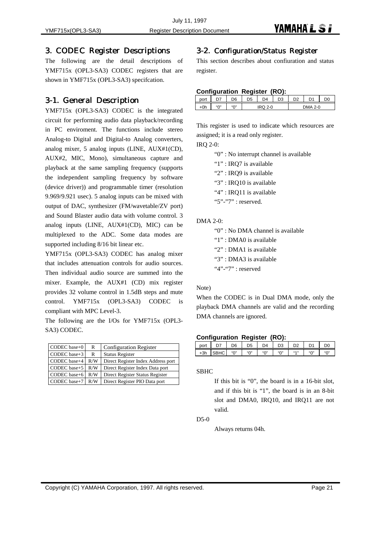#### 3. CODEC Register Descriptions

The following are the detail descriptions of YMF715x (OPL3-SA3) CODEC registers that are shown in YMF715x (OPL3-SA3) specifcation.

#### 3-1. General Description

YMF715x (OPL3-SA3) CODEC is the integrated circuit for performing audio data playback/recording in PC enviroment. The functions include stereo Analog-to Digital and Digital-to Analog converters, analog mixer, 5 analog inputs (LINE, AUX#1(CD), AUX#2, MIC, Mono), simultaneous capture and playback at the same sampling frequency (supports the independent sampling frequency by software (device driver)) and programmable timer (resolution 9.969/9.921 usec). 5 analog inputs can be mixed with output of DAC, synthesizer (FM/wavetable/ZV port) and Sound Blaster audio data with volume control. 3 analog inputs (LINE, AUX#1(CD), MIC) can be multiplexed to the ADC. Some data modes are supported including 8/16 bit linear etc.

YMF715x (OPL3-SA3) CODEC has analog mixer that includes attenuation controls for audio sources. Then individual audio source are summed into the mixer. Example, the AUX#1 (CD) mix register provides 32 volume control in 1.5dB steps and mute control. YMF715x (OPL3-SA3) CODEC is compliant with MPC Level-3.

The following are the I/Os for YMF715x (OPL3- SA3) CODEC.

| CODEC base+0 | R   | <b>Configuration Register</b>      |
|--------------|-----|------------------------------------|
| CODEC base+3 | R   | <b>Status Register</b>             |
| CODEC base+4 | R/W | Direct Register Index Address port |
| CODEC base+5 | R/W | Direct Register Index Data port    |
| CODEC base+6 | R/W | Direct Register Status Register    |
| CODEC base+7 | R/W | Direct Register PIO Data port      |

#### 3-2. Configuration/Status Register

This section describes about confiuration and status register.

#### **Configuration Register (RO):**

| vuu |                                | nr        | )5 | D4      | $\mathcal{L}$<br>נ ∪ | מח | D <sub>1</sub> | DC |
|-----|--------------------------------|-----------|----|---------|----------------------|----|----------------|----|
| 0h  | $^{15}$ $\Omega$ <sup>33</sup> | $``\cap"$ |    | $2 - 0$ |                      |    | $2 - 0$        |    |

This register is used to indicate which resources are assigned; it is a read only register.

IRQ 2-0:

"0" : No interrupt channel is available

- "1" : IRQ7 is available
- "2" : IRQ9 is available
- "3" : IRQ10 is available
- "4" : IRO11 is available
- "5"-"7" : reserved.

#### DMA 2-0:

"0" : No DMA channel is available "1" : DMA0 is available "2" : DMA1 is available "3" : DMA3 is available "4"-"7" : reserved

#### Note)

When the CODEC is in Dual DMA mode, only the playback DMA channels are valid and the recording DMA channels are ignored.

#### **Configuration Register (RO):**

| port  | -- | D6                  | יי           | $\mathsf{D}4$                | D <sub>3</sub>               | D2             | n,       | D(  |
|-------|----|---------------------|--------------|------------------------------|------------------------------|----------------|----------|-----|
| $+3h$ |    | $\mathfrak{g}$<br>U | $``\bigcap"$ | $\mathbf{H} \cap \mathbf{H}$ | $\mathbf{H} \cap \mathbf{H}$ | <b>66 A 33</b> | 550<br>◡ | "0" |

#### SBHC

If this bit is "0", the board is in a 16-bit slot, and if this bit is "1", the board is in an 8-bit slot and DMA0, IRQ10, and IRQ11 are not valid.

#### D5-0

Always returns 04h.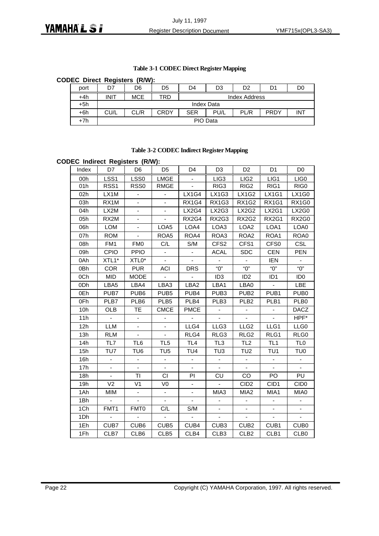#### **Table 3-1 CODEC Direct Register Mapping**

#### **CODEC Direct Registers (R/W):**

| port  | D7          | D6                                                                      | D5 | D4 | D3 | D <sub>2</sub> | D1 | D0 |  |
|-------|-------------|-------------------------------------------------------------------------|----|----|----|----------------|----|----|--|
| $+4h$ | <b>INIT</b> | MCE<br>TRD<br><b>Index Address</b>                                      |    |    |    |                |    |    |  |
| +5h   |             | Index Data                                                              |    |    |    |                |    |    |  |
| +6h   | CU/L        | <b>PRDY</b><br>CL/R<br>CRDY<br><b>INT</b><br>PL/R<br><b>SER</b><br>PU/L |    |    |    |                |    |    |  |
| $+7h$ |             | PIO Data                                                                |    |    |    |                |    |    |  |

#### **Table 3-2 CODEC Indirect Register Mapping**

#### **CODEC Indirect Registers (R/W):**

| Index | D7                | D <sub>6</sub>           | D <sub>5</sub>           | D <sub>4</sub>               | D <sub>3</sub>           | D <sub>2</sub>              | D <sub>1</sub>  | D <sub>0</sub>           |
|-------|-------------------|--------------------------|--------------------------|------------------------------|--------------------------|-----------------------------|-----------------|--------------------------|
| 00h   | LSS1              | LSS0                     | LMGE                     |                              | LIG <sub>3</sub>         | LIG <sub>2</sub>            | LIG1            | LIG0                     |
| 01h   | RSS1              | RSS <sub>0</sub>         | <b>RMGE</b>              |                              | RIG3                     | RIG <sub>2</sub>            | RIG1            | RIG0                     |
| 02h   | LX1M              | ÷                        |                          | <b>LX1G4</b>                 | <b>LX1G3</b>             | <b>LX1G2</b>                | <b>LX1G1</b>    | <b>LX1G0</b>             |
| 03h   | RX1M              | ÷,                       | $\blacksquare$           | RX1G4                        | <b>RX1G3</b>             | <b>RX1G2</b>                | RX1G1           | RX1G0                    |
| 04h   | LX2M              |                          |                          | LX2G4                        | LX2G3                    | <b>LX2G2</b>                | LX2G1           | LX2G0                    |
| 05h   | RX <sub>2</sub> M | -                        |                          | RX2G4                        | RX2G3                    | <b>RX2G2</b>                | RX2G1           | RX2G0                    |
| 06h   | <b>LOM</b>        | ۰                        | LOA5                     | LOA4                         | LOA3                     | LOA <sub>2</sub>            | LOA1            | LOA0                     |
| 07h   | <b>ROM</b>        | $\blacksquare$           | ROA5                     | ROA4                         | ROA3                     | ROA <sub>2</sub>            | ROA1            | ROA0                     |
| 08h   | FM1               | <b>FMO</b>               | C/L                      | S/M                          | CFS <sub>2</sub>         | CFS1                        | CFS0            | <b>CSL</b>               |
| 09h   | <b>CPIO</b>       | <b>PPIO</b>              |                          |                              | <b>ACAL</b>              | <b>SDC</b>                  | CEN             | <b>PEN</b>               |
| 0Ah   | XTL1*             | $XTL0*$                  | $\blacksquare$           |                              | $\blacksquare$           | $\blacksquare$              | <b>IEN</b>      | $\blacksquare$           |
| 0Bh   | <b>COR</b>        | <b>PUR</b>               | ACI                      | <b>DRS</b>                   | "O"                      | "0"                         | "О"             | "0"                      |
| 0Ch   | <b>MID</b>        | <b>MODE</b>              | $\mathbb{Z}^2$           | $\Box$                       | ID <sub>3</sub>          | ID <sub>2</sub>             | ID <sub>1</sub> | ID <sub>0</sub>          |
| 0Dh   | LBA5              | LBA4                     | LBA3                     | LBA2                         | LBA1                     | LBA0                        | ÷,              | LBE                      |
| 0Eh   | PUB7              | PUB <sub>6</sub>         | PUB <sub>5</sub>         | PUB4                         | PUB <sub>3</sub>         | PUB <sub>2</sub>            | PUB1            | PUB <sub>0</sub>         |
| 0Fh   | PLB7              | PLB6                     | PLB5                     | PLB4                         | PLB <sub>3</sub>         | PLB <sub>2</sub>            | PLB1            | PLB <sub>0</sub>         |
| 10h   | <b>OLB</b>        | <b>TE</b>                | <b>CMCE</b>              | <b>PMCE</b>                  |                          |                             |                 | <b>DACZ</b>              |
| 11h   | $\blacksquare$    | $\overline{\phantom{0}}$ |                          | $\blacksquare$               | $\overline{\phantom{a}}$ | $\mathcal{L}^{\mathcal{A}}$ |                 | HPF*                     |
| 12h   | <b>LLM</b>        | $\blacksquare$           | ä,                       | LLG4                         | LLG <sub>3</sub>         | LLG <sub>2</sub>            | LLG1            | LLG0                     |
| 13h   | <b>RLM</b>        | ÷,                       | $\mathbf{r}$             | RLG4                         | RLG3                     | RLG <sub>2</sub>            | RLG1            | RLG0                     |
| 14h   | TL7               | TL <sub>6</sub>          | TL <sub>5</sub>          | TL <sub>4</sub>              | TL <sub>3</sub>          | TL <sub>2</sub>             | TL <sub>1</sub> | TL <sub>0</sub>          |
| 15h   | TU7               | TU <sub>6</sub>          | TU <sub>5</sub>          | TU4                          | TU <sub>3</sub>          | TU <sub>2</sub>             | TU <sub>1</sub> | TU <sub>0</sub>          |
| 16h   | ÷,                | $\blacksquare$           | $\blacksquare$           | $\overline{\phantom{a}}$     | $\blacksquare$           | $\blacksquare$              | $\blacksquare$  | $\blacksquare$           |
| 17h   | ÷,                | $\overline{a}$           | $\blacksquare$           |                              | $\blacksquare$           | $\mathbf{r}$                | $\blacksquare$  | $\blacksquare$           |
| 18h   |                   | TI                       | CI                       | PI                           | <b>CU</b>                | CO                          | PO              | PU                       |
| 19h   | V <sub>2</sub>    | V <sub>1</sub>           | V <sub>0</sub>           | $\qquad \qquad \blacksquare$ | $\blacksquare$           | CID <sub>2</sub>            | CID1            | CID <sub>0</sub>         |
| 1Ah   | MIM               | $\blacksquare$           | $\overline{\phantom{a}}$ |                              | MIA3                     | MIA <sub>2</sub>            | MIA1            | MIA0                     |
| 1Bh   |                   |                          |                          |                              |                          |                             |                 |                          |
| 1Ch   | FMT <sub>1</sub>  | FMT <sub>0</sub>         | C/L                      | S/M                          |                          | $\overline{\phantom{a}}$    |                 | $\blacksquare$           |
| 1Dh   |                   |                          |                          |                              |                          |                             |                 | $\overline{\phantom{a}}$ |
| 1Eh   | CUB7              | CUB <sub>6</sub>         | CUB <sub>5</sub>         | CUB4                         | CUB <sub>3</sub>         | CUB <sub>2</sub>            | CUB1            | CUB <sub>0</sub>         |
| 1Fh   | CLB7              | CLB6                     | CLB5                     | CLB4                         | CLB <sub>3</sub>         | CLB <sub>2</sub>            | CLB1            | CLB <sub>0</sub>         |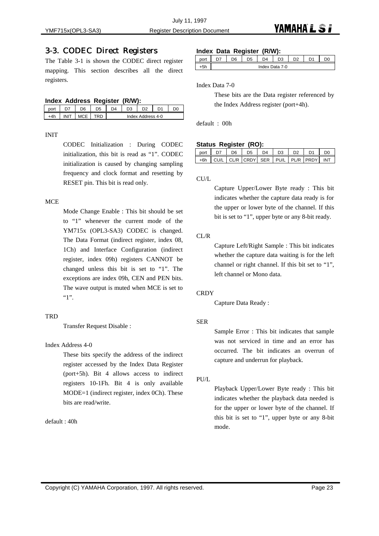#### 3-3. CODEC Direct Registers

The Table 3-1 is shown the CODEC direct register mapping. This section describes all the direct registers.

#### **Index Address Register (R/W):**

|           | - הר | 74 | υa    | מח          | n, |  |
|-----------|------|----|-------|-------------|----|--|
| $\cdot$ . |      |    | Index | Address 4-0 |    |  |

#### INIT

CODEC Initialization : During CODEC initialization, this bit is read as "1". CODEC initialization is caused by changing sampling frequency and clock format and resetting by RESET pin. This bit is read only.

#### **MCE**

Mode Change Enable : This bit should be set to "1" whenever the current mode of the YM715x (OPL3-SA3) CODEC is changed. The Data Format (indirect register, index 08, 1Ch) and Interface Configuration (indirect register, index 09h) registers CANNOT be changed unless this bit is set to "1". The exceptions are index 09h, CEN and PEN bits. The wave output is muted when MCE is set to "1".

#### **TRD**

Transfer Request Disable :

#### Index Address 4-0

These bits specify the address of the indirect register accessed by the Index Data Register (port+5h). Bit 4 allows access to indirect registers 10-1Fh. Bit 4 is only available MODE=1 (indirect register, index 0Ch). These bits are read/write.

default : 40h

#### **Index Data Register (R/W):**

|  | חה | <b>DF</b> | D4             | n o | D۵ | n. |  |
|--|----|-----------|----------------|-----|----|----|--|
|  |    |           | Index Data 7-0 |     |    |    |  |

Index Data 7-0

These bits are the Data register referenced by the Index Address register (port+4h).

default : 00h

#### **Status Register (RO):**

| port | דה | D6. | D.5                                                 | D4 | D <sub>3</sub> | D <sub>2</sub> | D1 | DC  |
|------|----|-----|-----------------------------------------------------|----|----------------|----------------|----|-----|
|      |    |     | +6h   CU/L   CL/R   CRDY   SER   PU/L   PL/R   PRDY |    |                |                |    | INT |

#### CU/L

Capture Upper/Lower Byte ready : This bit indicates whether the capture data ready is for the upper or lower byte of the channel. If this bit is set to "1", upper byte or any 8-bit ready.

#### CL/R

Capture Left/Right Sample : This bit indicates whether the capture data waiting is for the left channel or right channel. If this bit set to "1", left channel or Mono data.

#### **CRDY**

Capture Data Ready :

#### SER

Sample Error : This bit indicates that sample was not serviced in time and an error has occurred. The bit indicates an overrun of capture and underrun for playback.

PU/L

Playback Upper/Lower Byte ready : This bit indicates whether the playback data needed is for the upper or lower byte of the channel. If this bit is set to "1", upper byte or any 8-bit mode.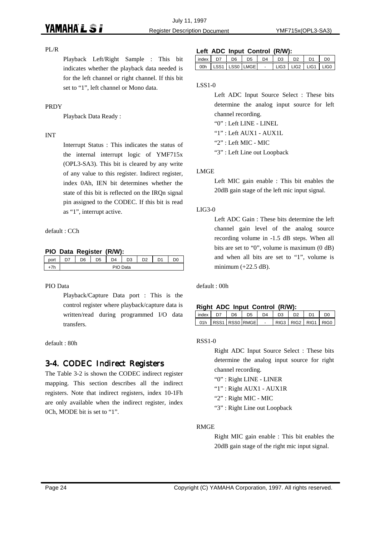#### PL/R

Playback Left/Right Sample : This bit indicates whether the playback data needed is for the left channel or right channel. If this bit set to "1", left channel or Mono data.

#### PRDY

Playback Data Ready :

#### INT

Interrupt Status : This indicates the status of the internal interrupt logic of YMF715x (OPL3-SA3). This bit is cleared by any write of any value to this register. Indirect register, index 0Ah, IEN bit determines whether the state of this bit is reflected on the IRQn signal pin assigned to the CODEC. If this bit is read as "1", interrupt active.

default : CCh

#### **PIO Data Register (R/W):**

| .<br>. . |          |                | <br>-- | . .                 |  |                |  |  |
|----------|----------|----------------|--------|---------------------|--|----------------|--|--|
| port     | D.C.     | D <sub>5</sub> | D4     | n <sub>o</sub><br>◡ |  | D <sub>1</sub> |  |  |
|          | PIO Data |                |        |                     |  |                |  |  |

#### PIO Data

Playback/Capture Data port : This is the control register where playback/capture data is written/read during programmed I/O data transfers.

default : 80h

### 3-4. CODEC Indirect Registers

The Table 3-2 is shown the CODEC indirect register mapping. This section describes all the indirect registers. Note that indirect registers, index 10-1Fh are only available when the indirect register, index 0Ch, MODE bit is set to "1".

#### **Left ADC Input Control (R/W):**

| index | Dß | D5             | D4  | D3 | D <sub>2</sub> | D <sub>1</sub>          | D۵ |
|-------|----|----------------|-----|----|----------------|-------------------------|----|
| 00h   |    | LSS1 LSS0 LMGE | . . |    |                | LLIG3 LLIG2 LLIG1 LLIG0 |    |

#### LSS1-0

Left ADC Input Source Select : These bits determine the analog input source for left channel recording. "0" : Left LINE - LINEL

"1" : Left AUX1 - AUX1L

"2" : Left MIC - MIC

"3" : Left Line out Loopback

#### LMGE

Left MIC gain enable : This bit enables the 20dB gain stage of the left mic input signal.

#### LIG3-0

Left ADC Gain : These bits determine the left channel gain level of the analog source recording volume in -1.5 dB steps. When all bits are set to "0", volume is maximum (0 dB) and when all bits are set to "1", volume is minimum  $(+22.5$  dB).

default : 00h

#### **Right ADC Input Control (R/W):**

| index | D7 | D6. | D <sub>5</sub>     | D4 | D <sub>3</sub> | D <sub>2</sub>      | m |
|-------|----|-----|--------------------|----|----------------|---------------------|---|
|       |    |     | 01h RSS1 RSS0 RMGE |    |                | RIG3 RIG2 RIG1 RIG0 |   |

#### RSS1-0

Right ADC Input Source Select : These bits determine the analog input source for right channel recording.

- "0" : Right LINE LINER
- "1" : Right AUX1 AUX1R
- "2" : Right MIC MIC
- "3" : Right Line out Loopback

#### RMGE

Right MIC gain enable : This bit enables the 20dB gain stage of the right mic input signal.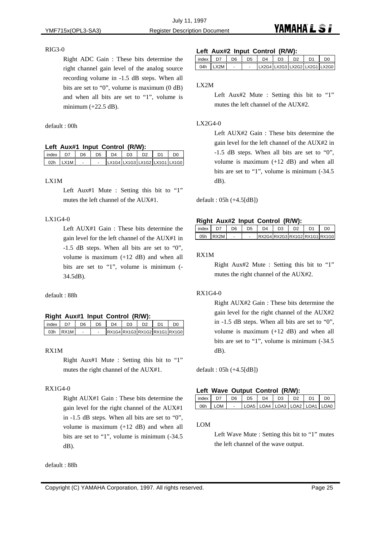#### RIG3-0

Right ADC Gain : These bits determine the right channel gain level of the analog source recording volume in -1.5 dB steps. When all bits are set to "0", volume is maximum (0 dB) and when all bits are set to "1", volume is minimum (+22.5 dB).

default : 00h

#### **Left Aux#1 Input Control (R/W):**

| index | D7       | D <sub>6</sub> | D <sub>5</sub> | D <sub>4</sub>                | D <sub>3</sub> | D <sub>2</sub> | D1 |  |
|-------|----------|----------------|----------------|-------------------------------|----------------|----------------|----|--|
|       | 02h LX1M |                |                | LX1G4 LX1G3 LX1G2 LX1G1 LX1G0 |                |                |    |  |

#### LX1M

Left Aux#1 Mute : Setting this bit to "1" mutes the left channel of the AUX#1.

#### LX1G4-0

Left AUX#1 Gain : These bits determine the gain level for the left channel of the AUX#1 in -1.5 dB steps. When all bits are set to "0", volume is maximum (+12 dB) and when all bits are set to "1", volume is minimum (- 34.5dB).

default : 88h

#### **Right Aux#1 Input Control (R/W):**

| index |        | D6 | D5 | D4 |  | DС                            |
|-------|--------|----|----|----|--|-------------------------------|
| 03h   | I RX1M |    |    |    |  | RX1G4 RX1G3 RX1G2 RX1G1 RX1G0 |

#### RX1M

Right Aux#1 Mute : Setting this bit to "1" mutes the right channel of the AUX#1.

#### RX1G4-0

Right AUX#1 Gain : These bits determine the gain level for the right channel of the AUX#1 in -1.5 dB steps. When all bits are set to "0", volume is maximum (+12 dB) and when all bits are set to "1", volume is minimum (-34.5 dB).

default : 88h

#### **Left Aux#2 Input Control (R/W):**

| l index l | D7                        | D6. | D <sub>5</sub> | D4                            | D <sub>3</sub> | D2 |  |
|-----------|---------------------------|-----|----------------|-------------------------------|----------------|----|--|
| 04h       | $\sqrt{2}$ 1 $\times$ 2 M |     |                | LX2G4 LX2G3 LX2G2 LX2G1 LX2G0 |                |    |  |

#### LX2M

#### LX2G4-0

Left AUX#2 Gain : These bits determine the gain level for the left channel of the AUX#2 in -1.5 dB steps. When all bits are set to "0", volume is maximum (+12 dB) and when all bits are set to "1", volume is minimum (-34.5 dB).

default : 05h (+4.5[dB])

#### **Right Aux#2 Input Control (R/W):**

| index |        | ነፍ | D4 |  | D٢                            |
|-------|--------|----|----|--|-------------------------------|
| 05h   | I RX2M |    |    |  | RX2G4 RX2G3 RX1G2 RX1G1 RX1G0 |

#### RX1M

Right Aux#2 Mute : Setting this bit to "1" mutes the right channel of the AUX#2.

#### RX1G4-0

Right AUX#2 Gain : These bits determine the gain level for the right channel of the AUX#2 in -1.5 dB steps. When all bits are set to "0", volume is maximum (+12 dB) and when all bits are set to "1", volume is minimum (-34.5 dB).

default : 05h (+4.5[dB])

#### **Left Wave Output Control (R/W):**

| index | D7      | D6. | D5 | D <sub>4</sub>                  | D <sub>3</sub> | D <sub>2</sub> | D1 | no |
|-------|---------|-----|----|---------------------------------|----------------|----------------|----|----|
|       | 06h LOM |     |    | LOA5 LOA4 LOA3 LOA2 LOA1 LOA0 L |                |                |    |    |

#### LOM

Left Wave Mute : Setting this bit to "1" mutes the left channel of the wave output.

Left Aux#2 Mute : Setting this bit to "1" mutes the left channel of the AUX#2.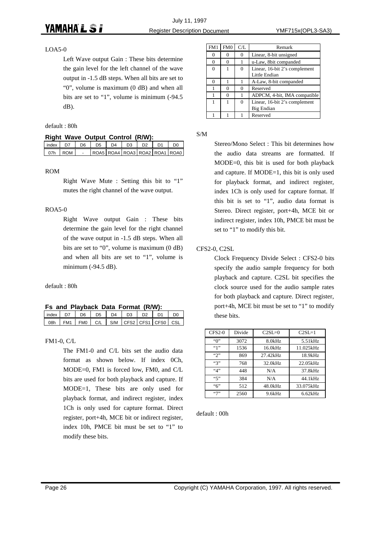#### LOA5-0

Left Wave output Gain : These bits determine the gain level for the left channel of the wave output in -1.5 dB steps. When all bits are set to "0", volume is maximum (0 dB) and when all bits are set to "1", volume is minimum (-94.5 dB).

default : 80h

#### **Right Wave Output Control (R/W):**

|               |  |  |  | index   D7   D6   D5   D4   D3   D2   D1   D0 |
|---------------|--|--|--|-----------------------------------------------|
| 07h   ROM   - |  |  |  | ROA5 ROA4 ROA3 ROA2 ROA1 ROA0                 |

#### ROM

Right Wave Mute : Setting this bit to "1" mutes the right channel of the wave output.

#### ROA5-0

Right Wave output Gain : These bits determine the gain level for the right channel of the wave output in -1.5 dB steps. When all bits are set to "0", volume is maximum (0 dB) and when all bits are set to "1", volume is minimum (-94.5 dB).

default : 80h

| Fs and Playback Data Format (R/W): |  |  |  |  |  |  |  |
|------------------------------------|--|--|--|--|--|--|--|
|------------------------------------|--|--|--|--|--|--|--|

| index |                 | D6 | D5 | D4 | D3 | מח |                                            | DC |
|-------|-----------------|----|----|----|----|----|--------------------------------------------|----|
| 08h   | FM <sub>1</sub> |    |    |    |    |    | FMO   C/L   S/M   CFS2   CFS1   CFS0   CSL |    |

#### FM1-0, C/L

The FM1-0 and C/L bits set the audio data format as shown below. If index 0Ch, MODE=0, FM1 is forced low, FM0, and C/L bits are used for both playback and capture. If MODE=1, These bits are only used for playback format, and indirect register, index 1Ch is only used for capture format. Direct register, port+4h, MCE bit or indirect register, index 10h, PMCE bit must be set to "1" to modify these bits.

| FM1      | FM0 | C/L | Remark                        |
|----------|-----|-----|-------------------------------|
|          |     | 0   | Linear, 8-bit unsigned        |
| 0        | 0   |     | u-Law, 8bit companded         |
| $\Omega$ |     | 0   | Linear, 16-bit 2's complement |
|          |     |     | Little Endian                 |
| 0        |     |     | A-Law, 8-bit companded        |
|          |     | 0   | Reserved                      |
|          | U   |     | ADPCM, 4-bit, IMA compatible  |
|          |     | 0   | Linear, 16-bit 2's complement |
|          |     |     | Big Endian                    |
|          |     |     | Reserved                      |

S/M

Stereo/Mono Select : This bit determines how the audio data streams are formatted. If MODE=0, this bit is used for both playback and capture. If MODE=1, this bit is only used for playback format, and indirect register, index 1Ch is only used for capture format. If this bit is set to "1", audio data format is Stereo. Direct register, port+4h, MCE bit or indirect register, index 10h, PMCE bit must be set to "1" to modify this bit.

#### CFS2-0, C2SL

Clock Frequency Divide Select : CFS2-0 bits specify the audio sample frequency for both playback and capture. C2SL bit specifies the clock source used for the audio sample rates for both playback and capture. Direct register, port+4h, MCE bit must be set to "1" to modify these bits.

| $CFS2-0$                           | Divide | $C2SL=0$ | $C2SI = 1$ |
|------------------------------------|--------|----------|------------|
| $\lq\lq$                           | 3072   | 8.0kHz   | 5.51kHz    |
| ""                                 | 1536   | 16.0kHz  | 11.025kHz  |
| $\mathfrak{so}$                    | 869    | 27.42kHz | 18.9kHz    |
| $\mathfrak{c}$                     | 768    | 32.0kHz  | 22.05kHz   |
| ``4"                               | 448    | N/A      | 37.8kHz    |
| ``5"                               | 384    | N/A      | 44.1kHz    |
| "6"                                | 512    | 48.0kHz  | 33.075kHz  |
| $\left\langle \cdot \right\rangle$ | 2560   | 9.6kHz   | 6.62kHz    |

default : 00h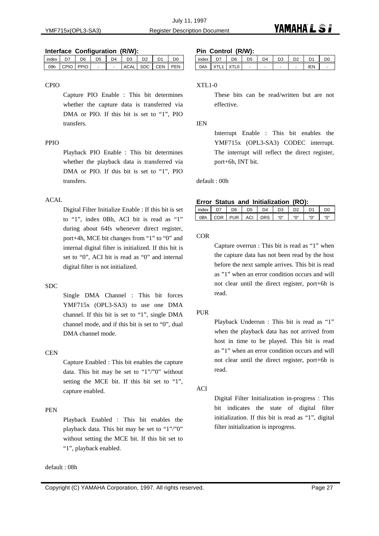#### **Interface Configuration (R/W):**

| index D7          | D6 | D5 |  | D4   D3   D2   D1 |                  | D <sub>0</sub> |
|-------------------|----|----|--|-------------------|------------------|----------------|
| logh cPIO PPIO L- |    |    |  |                   | ACAL SDC CEN PEN |                |

#### CPIO

Capture PIO Enable : This bit determines whether the capture data is transferred via DMA or PIO. If this bit is set to "1", PIO transfers.

#### PPIO

Playback PIO Enable : This bit determines whether the playback data is transferred via DMA or PIO. If this bit is set to "1", PIO transfers.

#### ACAL

Digital Filter Initialize Enable : If this bit is set to "1", index 0Bh, ACI bit is read as "1" during about 64fs whenever direct register, port+4h, MCE bit changes from "1" to "0" and internal digital filter is initialized. If this bit is set to "0", ACI bit is read as "0" and internal digital filter is not initialized.

#### SDC

Single DMA Channel : This bit forces YMF715x (OPL3-SA3) to use one DMA channel. If this bit is set to "1", single DMA channel mode, and if this bit is set to "0", dual DMA channel mode.

#### **CEN**

Capture Enabled : This bit enables the capture data. This bit may be set to "1"/"0" without setting the MCE bit. If this bit set to "1", capture enabled.

#### PEN

Playback Enabled : This bit enables the playback data. This bit may be set to "1"/"0" without setting the MCE bit. If this bit set to "1", playback enabled.

default : 08h

#### **Pin Control (R/W):**

| .     |       |                | .              |                |                |                |    |
|-------|-------|----------------|----------------|----------------|----------------|----------------|----|
| index | D7    | D <sub>6</sub> | D <sub>5</sub> | D <sub>4</sub> | D <sub>3</sub> | D <sub>1</sub> | D0 |
| 0Ah   | XTI 1 | XTL0           |                |                | -              | IEN            |    |

#### XTL1-0

These bits can be read/written but are not effective.

#### IEN

Interrupt Enable : This bit enables the YMF715x (OPL3-SA3) CODEC interrupt. The interrupt will reflect the direct register, port+6h, INT bit.

default : 00h

#### **Error Status and Initialization (RO):**

| index           |     | הר         | 5د  | D4         |     |  | D(                                   |
|-----------------|-----|------------|-----|------------|-----|--|--------------------------------------|
| 0 <sub>Bh</sub> | COR | <b>PUR</b> | ACI | <b>DRS</b> | "∩" |  | $\mathfrak{u}\cap \mathfrak{v}$<br>u |

**COR** 

Capture overrun : This bit is read as "1" when the capture data has not been read by the host before the next sample arrives. This bit is read as "1" when an error condition occurs and will not clear until the direct register, port+6h is read.

#### PUR

Playback Underrun : This bit is read as "1" when the playback data has not arrived from host in time to be played. This bit is read as "1" when an error condition occurs and will not clear until the direct register, port+6h is read.

#### ACI

Digital Filter Initialization in-progress : This bit indicates the state of digital filter initialization. If this bit is read as "1", digital filter initialization is inprogress.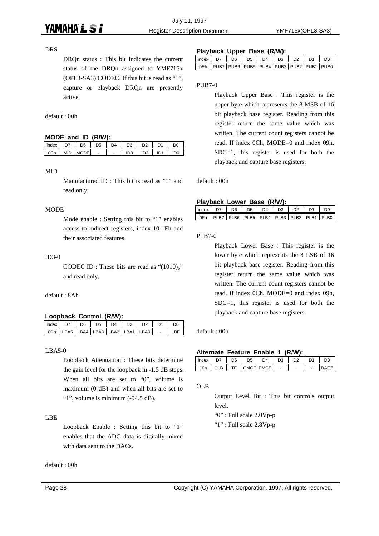#### DRS

DRQn status : This bit indicates the current status of the DRQn assigned to YMF715x (OPL3-SA3) CODEC. If this bit is read as "1", capture or playback DRQn are presently active.

default : 00h

#### **MODE and ID (R/W):**

| index |            | D6          | D <sub>5</sub> | D4 |                 |     |                 |     |
|-------|------------|-------------|----------------|----|-----------------|-----|-----------------|-----|
| 0Ch   | <b>MID</b> | <b>MODE</b> | -              | -  | ID <sub>3</sub> | ID2 | ID <sub>1</sub> | IDO |

#### MID

Manufactured ID : This bit is read as "1" and read only.

#### **MODE**

Mode enable : Setting this bit to "1" enables access to indirect registers, index 10-1Fh and their associated features.

#### ID3-0

CODEC ID : These bits are read as " $(1010)<sub>b</sub>$ " and read only.

default : 8Ah

#### **Loopback Control (R/W):**

| index | D7                                                | D6 L | DS | $D4$ $D3$ | D <sub>2</sub> | D <sub>1</sub> | DO |
|-------|---------------------------------------------------|------|----|-----------|----------------|----------------|----|
|       | 0Dh   LBA5   LBA4   LBA3   LBA2   LBA1   LBA0   - |      |    |           |                |                |    |

#### $LBA5-0$

Loopback Attenuation : These bits determine the gain level for the loopback in -1.5 dB steps. When all bits are set to "0", volume is maximum (0 dB) and when all bits are set to "1", volume is minimum (-94.5 dB).

#### LBE

Loopback Enable : Setting this bit to "1" enables that the ADC data is digitally mixed with data sent to the DACs.

default : 00h

#### **Playback Upper Base (R/W):**

|                                                                                                       |  | _______ |  |                                             |
|-------------------------------------------------------------------------------------------------------|--|---------|--|---------------------------------------------|
| $\vert$ index $\vert$ D7 $\vert$ D6 $\vert$ D5 $\vert$ D4 $\vert$ D3 $\vert$ D2 $\vert$ D1 $\vert$ D0 |  |         |  |                                             |
|                                                                                                       |  |         |  | OEh PUB7 PUB6 PUB5 PUB4 PUB3 PUB2 PUB1 PUB0 |

#### PUB7-0

Playback Upper Base : This register is the upper byte which represents the 8 MSB of 16 bit playback base register. Reading from this register return the same value which was written. The current count registers cannot be read. If index 0Ch, MODE=0 and index 09h, SDC=1, this register is used for both the playback and capture base registers.

default : 00h

#### **Playback Lower Base (R/W):**

| lindex D7                                                   | D6. | D <sub>5</sub> | D4 | D <sub>3</sub> | D <sub>2</sub> | D <sub>0</sub> |
|-------------------------------------------------------------|-----|----------------|----|----------------|----------------|----------------|
| OFh   PLB7   PLB6   PLB5   PLB4   PLB3   PLB2   PLB1   PLB0 |     |                |    |                |                |                |

#### PLB7-0

Playback Lower Base : This register is the lower byte which represents the 8 LSB of 16 bit playback base register. Reading from this register return the same value which was written. The current count registers cannot be read. If index 0Ch, MODE=0 and index 09h, SDC=1, this register is used for both the playback and capture base registers.

default : 00h

| Alternate Feature Enable 1 (R/W): |  |  |
|-----------------------------------|--|--|
|                                   |  |  |

| index         |     | nr | 5פ  | D4        |   | מח | D <sub>1</sub> |      |
|---------------|-----|----|-----|-----------|---|----|----------------|------|
| $^{\circ}$ Oh | OLB |    | 1 C | CMCE PMCE | - | -  | -              | 14 C |

OLB

Output Level Bit : This bit controls output level.

"0" : Full scale 2.0Vp-p

"1" : Full scale 2.8Vp-p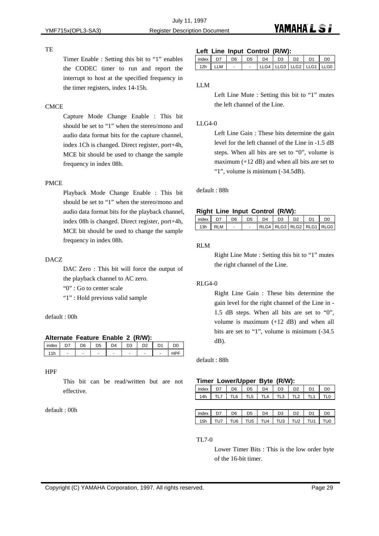#### **TE**

Timer Enable : Setting this bit to "1" enables the CODEC timer to run and report the interrupt to host at the specified frequency in the timer registers, index 14-15h.

#### **CMCE**

Capture Mode Change Enable : This bit should be set to "1" when the stereo/mono and audio data format bits for the capture channel, index 1Ch is changed. Direct register, port+4h, MCE bit should be used to change the sample frequency in index 08h.

#### PMCE

Playback Mode Change Enable : This bit should be set to "1" when the stereo/mono and audio data format bits for the playback channel, index 08h is changed. Direct register, port+4h, MCE bit should be used to change the sample frequency in index 08h.

#### DACZ

DAC Zero : This bit will force the output of the playback channel to AC zero.

"0" : Go to center scale

"1" : Hold previous valid sample

default : 00h

#### **Alternate Feature Enable 2 (R/W):**

| <b>IIIYA</b> |   |                          |   |                          |   |                          |                          | K. |
|--------------|---|--------------------------|---|--------------------------|---|--------------------------|--------------------------|----|
|              | ٠ | $\overline{\phantom{a}}$ | - | $\overline{\phantom{a}}$ | - | $\overline{\phantom{0}}$ | $\overline{\phantom{0}}$ |    |

#### HPF

This bit can be read/written but are not effective.

default : 00h

#### **Left Line Input Control (R/W):**

| index | D <sub>7</sub> | D6. | D5 | D4                       | D3 | D <sub>2</sub> | D <sub>1</sub> |  |
|-------|----------------|-----|----|--------------------------|----|----------------|----------------|--|
| 12h   | LLM            |     |    | LLG4 LLG3 LLG2 LLG1 LLG0 |    |                |                |  |

LLM

#### $LLG4-0$

Left Line Gain : These bits determine the gain level for the left channel of the Line in -1.5 dB steps. When all bits are set to "0", volume is maximum (+12 dB) and when all bits are set to "1", volume is minimum (-34.5dB).

#### default : 88h

#### **Right Line Input Control (R/W):**

| index |          | nr | na | D4 | D.3 |                              | DΓ |
|-------|----------|----|----|----|-----|------------------------------|----|
| 13h   | .M<br>יש |    |    |    |     | RIG4 IRIG3 IRIG2 IRIG1 IRIG0 |    |

#### RLM

Right Line Mute : Setting this bit to "1" mutes the right channel of the Line.

#### RLG4-0

Right Line Gain : These bits determine the gain level for the right channel of the Line in - 1.5 dB steps. When all bits are set to "0", volume is maximum (+12 dB) and when all bits are set to "1", volume is minimum (-34.5 dB).

default : 88h

#### **Timer Lower/Upper Byte (R/W):**

| in  | D <sub>6</sub> | n5  | D4             | D3  |     |   | I J( |
|-----|----------------|-----|----------------|-----|-----|---|------|
| 14h | ี              | TL5 | $\Delta$<br>ΤI | TL3 | TL2 | п |      |

| index | D7    | D <sub>6</sub> | D5 | D4                                | D <sub>3</sub> | D <sub>2</sub> | D <sub>1</sub> | D <sub>0</sub> |
|-------|-------|----------------|----|-----------------------------------|----------------|----------------|----------------|----------------|
| 15h   | TI 17 |                |    | TU6   TU5   TU4   TU3   TU2   TU1 |                |                |                | TU0            |

#### TL7-0

Lower Timer Bits : This is the low order byte of the 16-bit timer.

Left Line Mute : Setting this bit to "1" mutes the left channel of the Line.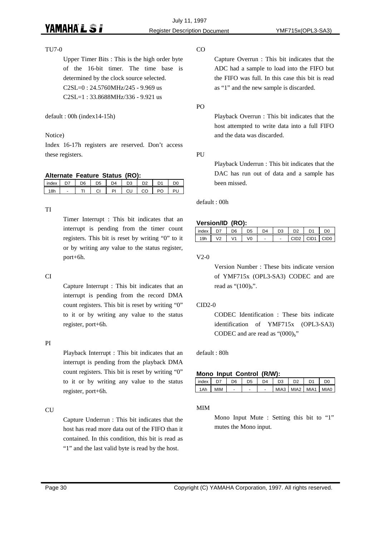#### TU7-0

Upper Timer Bits : This is the high order byte of the 16-bit timer. The time base is determined by the clock source selected. C2SL=0 : 24.5760MHz/245 - 9.969 us C2SL=1 : 33.8688MHz/336 - 9.921 us

default : 00h (index14-15h)

#### Notice)

Index 16-17h registers are reserved. Don't access these registers.

#### **Alternate Feature Status (RO):**

| index | ו לח           | D6 | D <sub>5</sub> | D4   | D <sub>3</sub> | D2  | D <sub>1</sub> | חח |
|-------|----------------|----|----------------|------|----------------|-----|----------------|----|
|       | $\overline{a}$ |    | <b>CI</b>      | PL L | CU.            | CO. | PO             |    |

#### TI

Timer Interrupt : This bit indicates that an interrupt is pending from the timer count registers. This bit is reset by writing "0" to it or by writing any value to the status register, port+6h.

#### CI

Capture Interrupt : This bit indicates that an interrupt is pending from the record DMA count registers. This bit is reset by writing "0" to it or by writing any value to the status register, port+6h.

#### PI

Playback Interrupt : This bit indicates that an interrupt is pending from the playback DMA count registers. This bit is reset by writing "0" to it or by writing any value to the status register, port+6h.

#### CU

Capture Underrun : This bit indicates that the host has read more data out of the FIFO than it contained. In this condition, this bit is read as "1" and the last valid byte is read by the host.

#### CO

Capture Overrun : This bit indicates that the ADC had a sample to load into the FIFO but the FIFO was full. In this case this bit is read as "1" and the new sample is discarded.

PO

Playback Overrun : This bit indicates that the host attempted to write data into a full FIFO and the data was discarded.

#### PU

Playback Underrun : This bit indicates that the DAC has run out of data and a sample has been missed.

default : 00h

#### **Version/ID (RO):**

| <br>index | D7 | Dß | )5 | D4 | D3                       | פח               |              | חח |
|-----------|----|----|----|----|--------------------------|------------------|--------------|----|
|           |    |    |    |    | $\overline{\phantom{0}}$ | CID <sub>2</sub> | I CID1 LCID0 |    |

V2-0

Version Number : These bits indicate version of YMF715x (OPL3-SA3) CODEC and are read as " $(100)<sub>b</sub>$ ".

#### CID2-0

CODEC Identification : These bits indicate identification of YMF715x (OPL3-SA3) CODEC and are read as " $(000)<sub>b</sub>$ "

default : 80h

#### **Mono Input Control (R/W):**

| l index |            | D6 | D5 | D4 | DΣ |                           |  |
|---------|------------|----|----|----|----|---------------------------|--|
| 1 Ah    | <b>MIM</b> |    |    |    |    | MIA3   MIA2   MIA1   MIA0 |  |

#### MIM

Mono Input Mute : Setting this bit to "1" mutes the Mono input.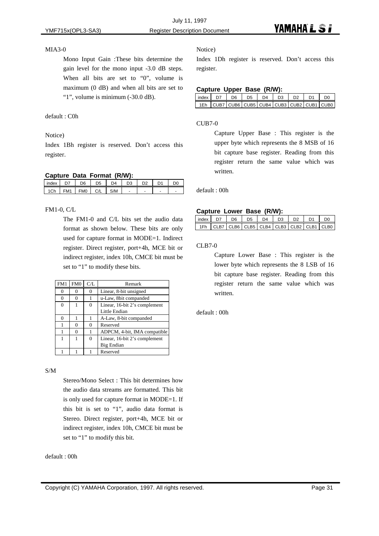#### MIA3-0

Mono Input Gain :These bits determine the gain level for the mono input -3.0 dB steps. When all bits are set to "0", volume is maximum (0 dB) and when all bits are set to "1", volume is minimum (-30.0 dB).

#### default : C0h

#### Notice)

Index 1Bh register is reserved. Don't access this register.

#### **Capture Data Format (R/W):**

| __    | __<br>. .       | -----          |                |               |                          |                          |  |
|-------|-----------------|----------------|----------------|---------------|--------------------------|--------------------------|--|
| index | $\mathbf{1}$    | D <sub>6</sub> | D <sub>5</sub> | $\mathsf{D}4$ | D <sub>3</sub>           | D <sub>2</sub>           |  |
|       | FM <sub>1</sub> | FM0            | C/I            | S/M           | $\overline{\phantom{0}}$ | $\overline{\phantom{0}}$ |  |
|       |                 |                |                |               |                          |                          |  |

#### FM1-0, C/L

The FM1-0 and C/L bits set the audio data format as shown below. These bits are only used for capture format in MODE=1. Indirect register. Direct register, port+4h, MCE bit or indirect register, index 10h, CMCE bit must be set to "1" to modify these bits.

| FM1      | FM0 | C/L      | Remark                        |
|----------|-----|----------|-------------------------------|
|          | 0   |          | Linear, 8-bit unsigned        |
| 0        | 0   |          | u-Law, 8bit companded         |
| $\Omega$ |     | $\Omega$ | Linear, 16-bit 2's complement |
|          |     |          | Little Endian                 |
|          |     |          | A-Law, 8-bit companded        |
|          | 0   |          | Reserved                      |
|          | O   |          | ADPCM, 4-bit, IMA compatible  |
|          |     |          | Linear, 16-bit 2's complement |
|          |     |          | Big Endian                    |
|          |     |          | Reserved                      |

#### S/M

Stereo/Mono Select : This bit determines how the audio data streams are formatted. This bit is only used for capture format in MODE=1. If this bit is set to "1", audio data format is Stereo. Direct register, port+4h, MCE bit or indirect register, index 10h, CMCE bit must be set to "1" to modify this bit.

#### default : 00h

#### Notice)

Index 1Dh register is reserved. Don't access this register.

#### **Capture Upper Base (R/W):**

| $\vert$ index $\vert$ D7 $\vert$ D6 $\vert$ D5 $\vert$ D4 $\vert$ D3 $\vert$ D2 $\vert$ D1 $\vert$ D0 |  |  |  |  |
|-------------------------------------------------------------------------------------------------------|--|--|--|--|
| $\sqrt{1Eh}$ CUB7 CUB6 CUB5 CUB4 CUB3 CUB2 CUB1 CUB0                                                  |  |  |  |  |

#### CUB7-0

Capture Upper Base : This register is the upper byte which represents the 8 MSB of 16 bit capture base register. Reading from this register return the same value which was written.

default : 00h

#### **Capture Lower Base (R/W):**

| index D7 |  | D6 D5 L | D4 D3 | D2. | D1 | D <sub>0</sub>                                  |
|----------|--|---------|-------|-----|----|-------------------------------------------------|
|          |  |         |       |     |    | │ 1Fh │CLB7│CLB6│CLB5│CLB4│CLB3│CLB2│CLB1│CLB0│ |

CLB7-0

Capture Lower Base : This register is the lower byte which represents the 8 LSB of 16 bit capture base register. Reading from this register return the same value which was written.

default : 00h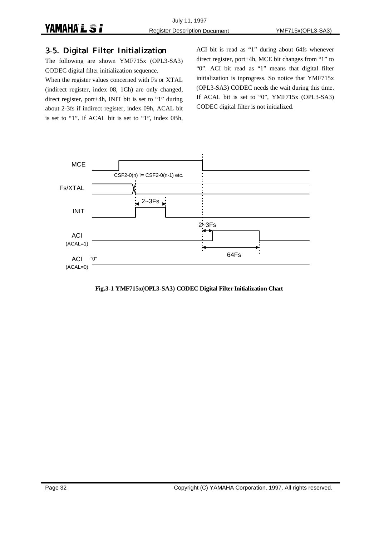#### 3-5. Digital Filter Initialization

The following are shown YMF715x (OPL3-SA3) CODEC digital filter initialization sequence.

When the register values concerned with Fs or XTAL (indirect register, index 08, 1Ch) are only changed, direct register, port+4h, INIT bit is set to "1" during about 2-3fs if indirect register, index 09h, ACAL bit is set to "1". If ACAL bit is set to "1", index 0Bh,

ACI bit is read as "1" during about 64fs whenever direct register, port+4h, MCE bit changes from "1" to "0". ACI bit read as "1" means that digital filter initialization is inprogress. So notice that YMF715x (OPL3-SA3) CODEC needs the wait during this time. If ACAL bit is set to "0", YMF715x (OPL3-SA3) CODEC digital filter is not initialized.



**Fig.3-1 YMF715x(OPL3-SA3) CODEC Digital Filter Initialization Chart**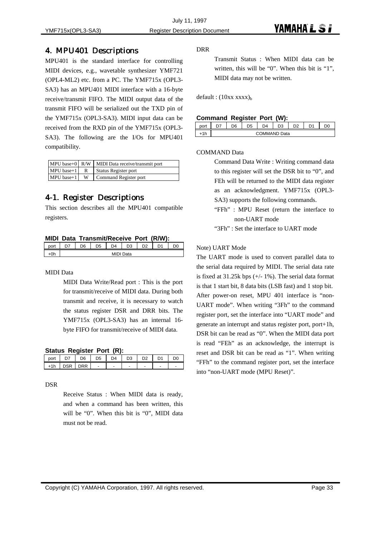#### 4. MPU401 Descriptions

MPU401 is the standard interface for controlling MIDI devices, e.g., wavetable synthesizer YMF721 (OPL4-ML2) etc. from a PC. The YMF715x (OPL3- SA3) has an MPU401 MIDI interface with a 16-byte receive/transmit FIFO. The MIDI output data of the transmit FIFO will be serialized out the TXD pin of the YMF715x (OPL3-SA3). MIDI input data can be received from the RXD pin of the YMF715x (OPL3- SA3). The following are the I/Os for MPU401 compatibility.

|                | $MPU$ base+0 $R/W$ MIDI Data receive/transmit port |
|----------------|----------------------------------------------------|
| $MPU base+1$ R | Status Register port                               |
| $MPU$ base+1 W | Command Register port                              |

### 4-1. Register Descriptions

This section describes all the MPU401 compatible registers.

| MIDI Data Transmit/Receive Port (R/W): |
|----------------------------------------|
|----------------------------------------|

| port | --           | D6 | D <sub>5</sub> | D <sub>4</sub> | D <sub>3</sub> | D2 | D <sub>1</sub> | D0 |
|------|--------------|----|----------------|----------------|----------------|----|----------------|----|
| +0h  | MIDI<br>Data |    |                |                |                |    |                |    |

MIDI Data

MIDI Data Write/Read port : This is the port for transmit/receive of MIDI data. During both transmit and receive, it is necessary to watch the status register DSR and DRR bits. The YMF715x (OPL3-SA3) has an internal 16 byte FIFO for transmit/receive of MIDI data.

| Status Register Port (R): |  |
|---------------------------|--|
|                           |  |

|                 | $\sim$ |  |  |  |
|-----------------|--------|--|--|--|
| .4 <sub>b</sub> | D.     |  |  |  |

#### DSR

Receive Status : When MIDI data is ready, and when a command has been written, this will be "0". When this bit is "0", MIDI data must not be read.

DRR

Transmit Status : When MIDI data can be written, this will be "0". When this bit is "1", MIDI data may not be written.

default :  $(10xx xxxx)_b$ 

#### **Command Register Port (W):**

| __   | __           | . .<br>້   |    |    |           |  |    |  |
|------|--------------|------------|----|----|-----------|--|----|--|
| วort | $\sim$       | <b>D</b> R | n5 | D4 | n.<br>נ ∪ |  | n, |  |
|      | COMMAND Data |            |    |    |           |  |    |  |

#### COMMAND Data

Command Data Write : Writing command data to this register will set the DSR bit to "0", and FEh will be returned to the MIDI data register as an acknowledgment. YMF715x (OPL3- SA3) supports the following commands.

- "FFh" : MPU Reset (return the interface to non-UART mode
- "3Fh" : Set the interface to UART mode

#### Note) UART Mode

The UART mode is used to convert parallel data to the serial data required by MIDI. The serial data rate is fixed at  $31.25k$  bps  $(+/- 1\%)$ . The serial data format is that 1 start bit, 8 data bits (LSB fast) and 1 stop bit. After power-on reset, MPU 401 interface is "non-UART mode". When writing "3Fh" to the command register port, set the interface into "UART mode" and generate an interrupt and status register port, port+1h, DSR bit can be read as "0". When the MIDI data port is read "FEh" as an acknowledge, the interrupt is reset and DSR bit can be read as "1". When writing "FFh" to the command register port, set the interface into "non-UART mode (MPU Reset)".